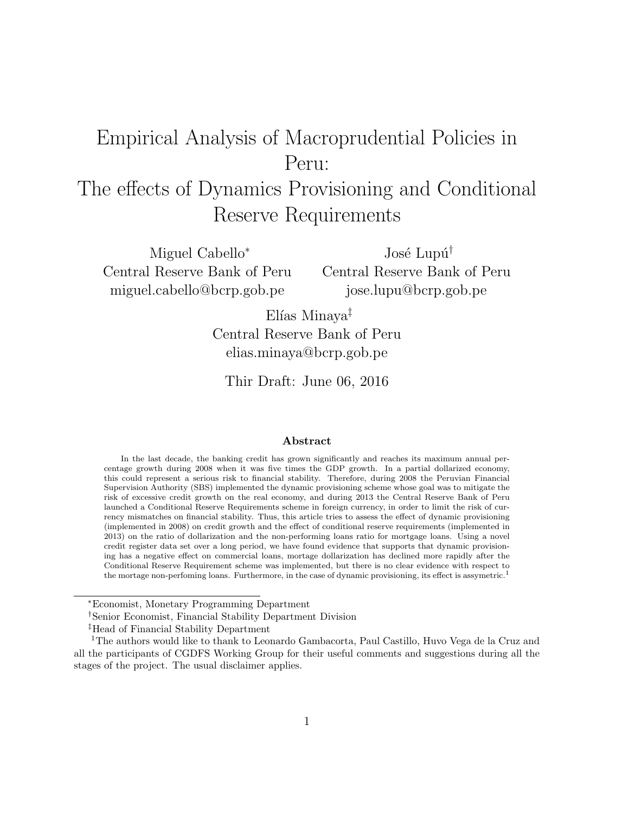# Empirical Analysis of Macroprudential Policies in Peru:

# The effects of Dynamics Provisioning and Conditional Reserve Requirements

Miguel Cabello<sup>∗</sup> Central Reserve Bank of Peru miguel.cabello@bcrp.gob.pe

José Lupú<sup>†</sup> Central Reserve Bank of Peru jose.lupu@bcrp.gob.pe

 $E$ lías Minaya<sup>‡</sup> Central Reserve Bank of Peru elias.minaya@bcrp.gob.pe

Thir Draft: June 06, 2016

#### Abstract

In the last decade, the banking credit has grown significantly and reaches its maximum annual percentage growth during 2008 when it was five times the GDP growth. In a partial dollarized economy, this could represent a serious risk to financial stability. Therefore, during 2008 the Peruvian Financial Supervision Authority (SBS) implemented the dynamic provisioning scheme whose goal was to mitigate the risk of excessive credit growth on the real economy, and during 2013 the Central Reserve Bank of Peru launched a Conditional Reserve Requirements scheme in foreign currency, in order to limit the risk of currency mismatches on financial stability. Thus, this article tries to assess the effect of dynamic provisioning (implemented in 2008) on credit growth and the effect of conditional reserve requirements (implemented in 2013) on the ratio of dollarization and the non-performing loans ratio for mortgage loans. Using a novel credit register data set over a long period, we have found evidence that supports that dynamic provisioning has a negative effect on commercial loans, mortage dollarization has declined more rapidly after the Conditional Reserve Requirement scheme was implemented, but there is no clear evidence with respect to the mortage non-perfoming loans. Furthermore, in the case of dynamic provisioning, its effect is assymetric.<sup>1</sup>

<sup>∗</sup>Economist, Monetary Programming Department

<sup>†</sup>Senior Economist, Financial Stability Department Division

<sup>‡</sup>Head of Financial Stability Department

<sup>1</sup>The authors would like to thank to Leonardo Gambacorta, Paul Castillo, Huvo Vega de la Cruz and all the participants of CGDFS Working Group for their useful comments and suggestions during all the stages of the project. The usual disclaimer applies.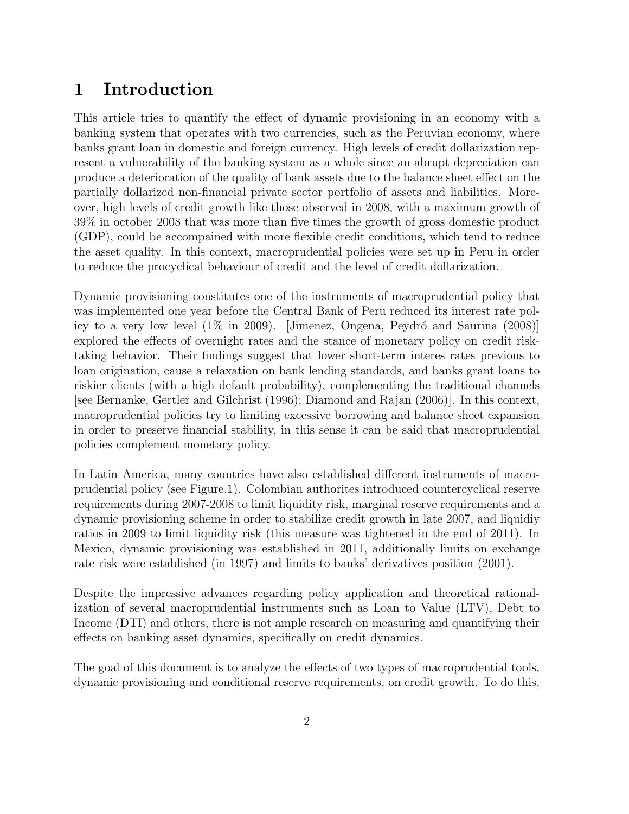## 1 Introduction

This article tries to quantify the effect of dynamic provisioning in an economy with a banking system that operates with two currencies, such as the Peruvian economy, where banks grant loan in domestic and foreign currency. High levels of credit dollarization represent a vulnerability of the banking system as a whole since an abrupt depreciation can produce a deterioration of the quality of bank assets due to the balance sheet effect on the partially dollarized non-financial private sector portfolio of assets and liabilities. Moreover, high levels of credit growth like those observed in 2008, with a maximum growth of 39% in october 2008 that was more than five times the growth of gross domestic product (GDP), could be accompained with more flexible credit conditions, which tend to reduce the asset quality. In this context, macroprudential policies were set up in Peru in order to reduce the procyclical behaviour of credit and the level of credit dollarization.

Dynamic provisioning constitutes one of the instruments of macroprudential policy that was implemented one year before the Central Bank of Peru reduced its interest rate policy to a very low level  $(1\%$  in 2009). [Jimenez, Ongena, Peydró and Saurina  $(2008)$ ] explored the effects of overnight rates and the stance of monetary policy on credit risktaking behavior. Their findings suggest that lower short-term interes rates previous to loan origination, cause a relaxation on bank lending standards, and banks grant loans to riskier clients (with a high default probability), complementing the traditional channels [see Bernanke, Gertler and Gilchrist (1996); Diamond and Rajan (2006)]. In this context, macroprudential policies try to limiting excessive borrowing and balance sheet expansion in order to preserve financial stability, in this sense it can be said that macroprudential policies complement monetary policy.

In Latin America, many countries have also established different instruments of macroprudential policy (see Figure.1). Colombian authorites introduced countercyclical reserve requirements during 2007-2008 to limit liquidity risk, marginal reserve requirements and a dynamic provisioning scheme in order to stabilize credit growth in late 2007, and liquidiy ratios in 2009 to limit liquidity risk (this measure was tightened in the end of 2011). In Mexico, dynamic provisioning was established in 2011, additionally limits on exchange rate risk were established (in 1997) and limits to banks' derivatives position (2001).

Despite the impressive advances regarding policy application and theoretical rationalization of several macroprudential instruments such as Loan to Value (LTV), Debt to Income (DTI) and others, there is not ample research on measuring and quantifying their effects on banking asset dynamics, specifically on credit dynamics.

The goal of this document is to analyze the effects of two types of macroprudential tools, dynamic provisioning and conditional reserve requirements, on credit growth. To do this,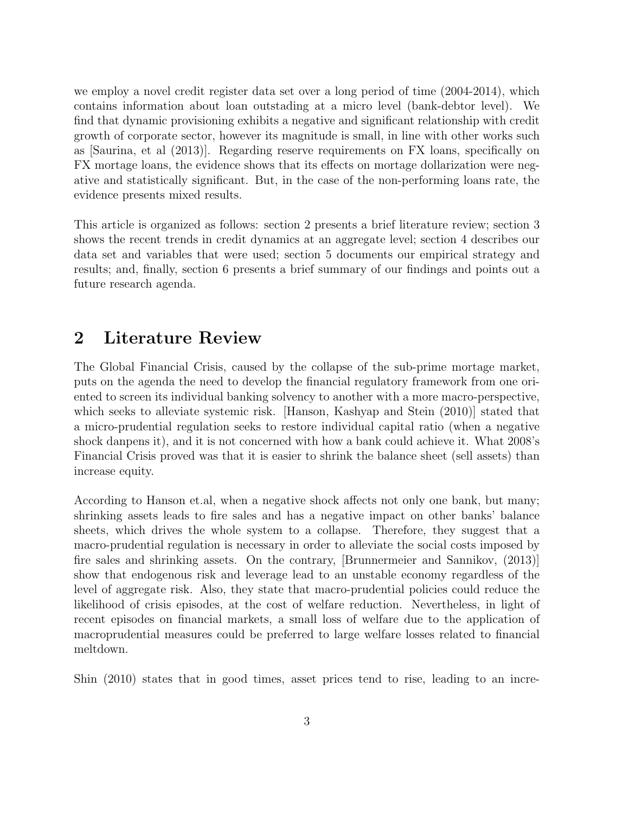we employ a novel credit register data set over a long period of time (2004-2014), which contains information about loan outstading at a micro level (bank-debtor level). We find that dynamic provisioning exhibits a negative and significant relationship with credit growth of corporate sector, however its magnitude is small, in line with other works such as [Saurina, et al (2013)]. Regarding reserve requirements on FX loans, specifically on FX mortage loans, the evidence shows that its effects on mortage dollarization were negative and statistically significant. But, in the case of the non-performing loans rate, the evidence presents mixed results.

This article is organized as follows: section 2 presents a brief literature review; section 3 shows the recent trends in credit dynamics at an aggregate level; section 4 describes our data set and variables that were used; section 5 documents our empirical strategy and results; and, finally, section 6 presents a brief summary of our findings and points out a future research agenda.

#### 2 Literature Review

The Global Financial Crisis, caused by the collapse of the sub-prime mortage market, puts on the agenda the need to develop the financial regulatory framework from one oriented to screen its individual banking solvency to another with a more macro-perspective, which seeks to alleviate systemic risk. [Hanson, Kashyap and Stein (2010)] stated that a micro-prudential regulation seeks to restore individual capital ratio (when a negative shock danpens it), and it is not concerned with how a bank could achieve it. What 2008's Financial Crisis proved was that it is easier to shrink the balance sheet (sell assets) than increase equity.

According to Hanson et.al, when a negative shock affects not only one bank, but many; shrinking assets leads to fire sales and has a negative impact on other banks' balance sheets, which drives the whole system to a collapse. Therefore, they suggest that a macro-prudential regulation is necessary in order to alleviate the social costs imposed by fire sales and shrinking assets. On the contrary, [Brunnermeier and Sannikov, (2013)] show that endogenous risk and leverage lead to an unstable economy regardless of the level of aggregate risk. Also, they state that macro-prudential policies could reduce the likelihood of crisis episodes, at the cost of welfare reduction. Nevertheless, in light of recent episodes on financial markets, a small loss of welfare due to the application of macroprudential measures could be preferred to large welfare losses related to financial meltdown.

Shin (2010) states that in good times, asset prices tend to rise, leading to an incre-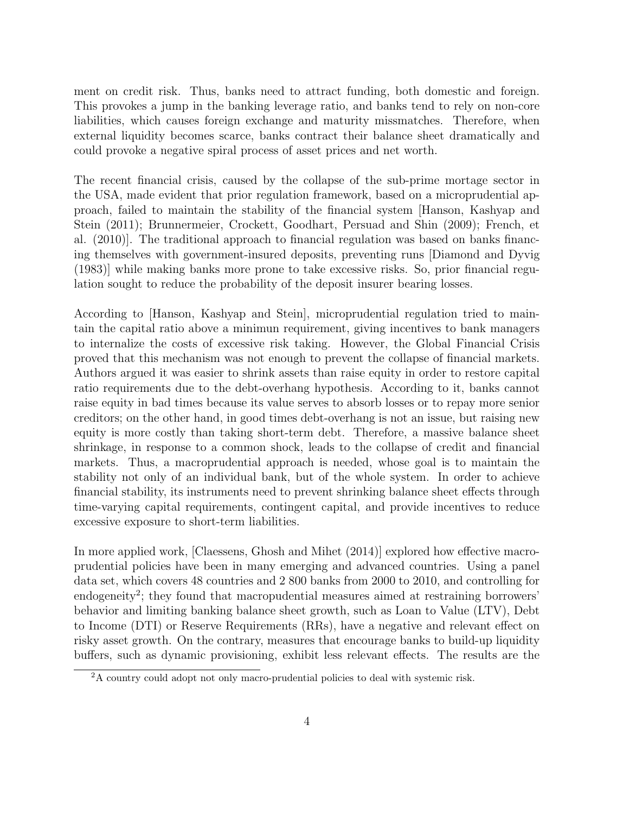ment on credit risk. Thus, banks need to attract funding, both domestic and foreign. This provokes a jump in the banking leverage ratio, and banks tend to rely on non-core liabilities, which causes foreign exchange and maturity missmatches. Therefore, when external liquidity becomes scarce, banks contract their balance sheet dramatically and could provoke a negative spiral process of asset prices and net worth.

The recent financial crisis, caused by the collapse of the sub-prime mortage sector in the USA, made evident that prior regulation framework, based on a microprudential approach, failed to maintain the stability of the financial system [Hanson, Kashyap and Stein (2011); Brunnermeier, Crockett, Goodhart, Persuad and Shin (2009); French, et al. (2010)]. The traditional approach to financial regulation was based on banks financing themselves with government-insured deposits, preventing runs [Diamond and Dyvig (1983)] while making banks more prone to take excessive risks. So, prior financial regulation sought to reduce the probability of the deposit insurer bearing losses.

According to [Hanson, Kashyap and Stein], microprudential regulation tried to maintain the capital ratio above a minimun requirement, giving incentives to bank managers to internalize the costs of excessive risk taking. However, the Global Financial Crisis proved that this mechanism was not enough to prevent the collapse of financial markets. Authors argued it was easier to shrink assets than raise equity in order to restore capital ratio requirements due to the debt-overhang hypothesis. According to it, banks cannot raise equity in bad times because its value serves to absorb losses or to repay more senior creditors; on the other hand, in good times debt-overhang is not an issue, but raising new equity is more costly than taking short-term debt. Therefore, a massive balance sheet shrinkage, in response to a common shock, leads to the collapse of credit and financial markets. Thus, a macroprudential approach is needed, whose goal is to maintain the stability not only of an individual bank, but of the whole system. In order to achieve financial stability, its instruments need to prevent shrinking balance sheet effects through time-varying capital requirements, contingent capital, and provide incentives to reduce excessive exposure to short-term liabilities.

In more applied work, [Claessens, Ghosh and Mihet (2014)] explored how effective macroprudential policies have been in many emerging and advanced countries. Using a panel data set, which covers 48 countries and 2 800 banks from 2000 to 2010, and controlling for endogeneity<sup>2</sup>; they found that macropudential measures aimed at restraining borrowers' behavior and limiting banking balance sheet growth, such as Loan to Value (LTV), Debt to Income (DTI) or Reserve Requirements (RRs), have a negative and relevant effect on risky asset growth. On the contrary, measures that encourage banks to build-up liquidity buffers, such as dynamic provisioning, exhibit less relevant effects. The results are the

<sup>&</sup>lt;sup>2</sup>A country could adopt not only macro-prudential policies to deal with systemic risk.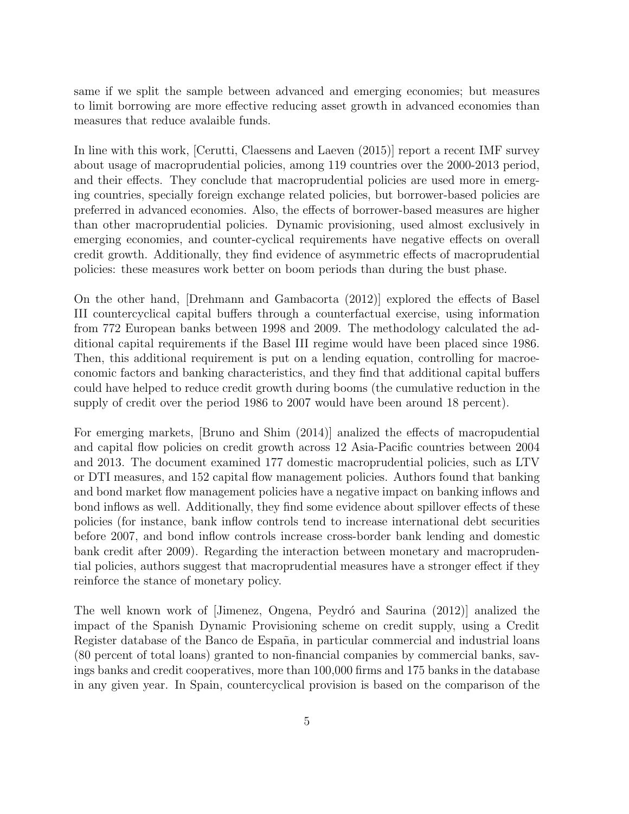same if we split the sample between advanced and emerging economies; but measures to limit borrowing are more effective reducing asset growth in advanced economies than measures that reduce avalaible funds.

In line with this work, [Cerutti, Claessens and Laeven (2015)] report a recent IMF survey about usage of macroprudential policies, among 119 countries over the 2000-2013 period, and their effects. They conclude that macroprudential policies are used more in emerging countries, specially foreign exchange related policies, but borrower-based policies are preferred in advanced economies. Also, the effects of borrower-based measures are higher than other macroprudential policies. Dynamic provisioning, used almost exclusively in emerging economies, and counter-cyclical requirements have negative effects on overall credit growth. Additionally, they find evidence of asymmetric effects of macroprudential policies: these measures work better on boom periods than during the bust phase.

On the other hand, [Drehmann and Gambacorta (2012)] explored the effects of Basel III countercyclical capital buffers through a counterfactual exercise, using information from 772 European banks between 1998 and 2009. The methodology calculated the additional capital requirements if the Basel III regime would have been placed since 1986. Then, this additional requirement is put on a lending equation, controlling for macroeconomic factors and banking characteristics, and they find that additional capital buffers could have helped to reduce credit growth during booms (the cumulative reduction in the supply of credit over the period 1986 to 2007 would have been around 18 percent).

For emerging markets, [Bruno and Shim (2014)] analized the effects of macropudential and capital flow policies on credit growth across 12 Asia-Pacific countries between 2004 and 2013. The document examined 177 domestic macroprudential policies, such as LTV or DTI measures, and 152 capital flow management policies. Authors found that banking and bond market flow management policies have a negative impact on banking inflows and bond inflows as well. Additionally, they find some evidence about spillover effects of these policies (for instance, bank inflow controls tend to increase international debt securities before 2007, and bond inflow controls increase cross-border bank lending and domestic bank credit after 2009). Regarding the interaction between monetary and macroprudential policies, authors suggest that macroprudential measures have a stronger effect if they reinforce the stance of monetary policy.

The well known work of [Jimenez, Ongena, Peydró and Saurina (2012)] analized the impact of the Spanish Dynamic Provisioning scheme on credit supply, using a Credit Register database of the Banco de España, in particular commercial and industrial loans (80 percent of total loans) granted to non-financial companies by commercial banks, savings banks and credit cooperatives, more than 100,000 firms and 175 banks in the database in any given year. In Spain, countercyclical provision is based on the comparison of the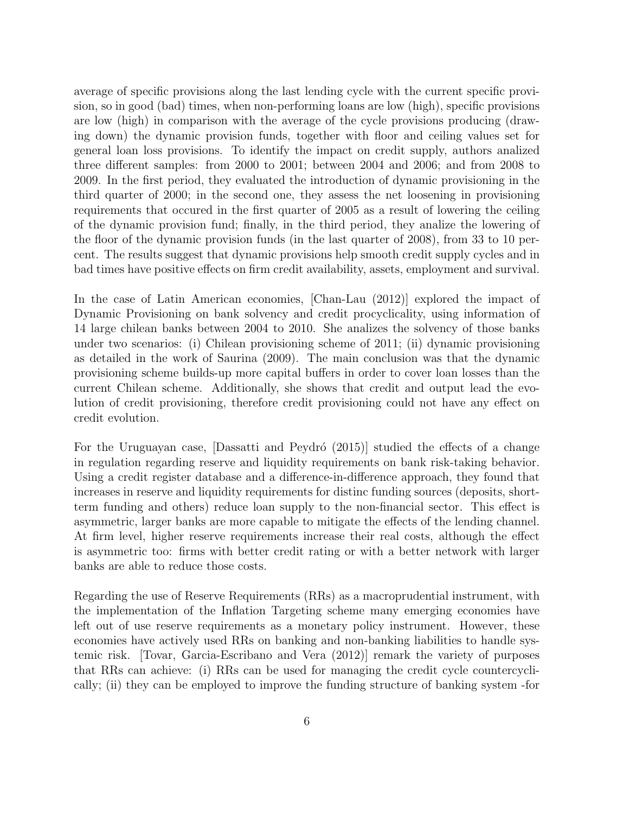average of specific provisions along the last lending cycle with the current specific provision, so in good (bad) times, when non-performing loans are low (high), specific provisions are low (high) in comparison with the average of the cycle provisions producing (drawing down) the dynamic provision funds, together with floor and ceiling values set for general loan loss provisions. To identify the impact on credit supply, authors analized three different samples: from 2000 to 2001; between 2004 and 2006; and from 2008 to 2009. In the first period, they evaluated the introduction of dynamic provisioning in the third quarter of 2000; in the second one, they assess the net loosening in provisioning requirements that occured in the first quarter of 2005 as a result of lowering the ceiling of the dynamic provision fund; finally, in the third period, they analize the lowering of the floor of the dynamic provision funds (in the last quarter of 2008), from 33 to 10 percent. The results suggest that dynamic provisions help smooth credit supply cycles and in bad times have positive effects on firm credit availability, assets, employment and survival.

In the case of Latin American economies, [Chan-Lau (2012)] explored the impact of Dynamic Provisioning on bank solvency and credit procyclicality, using information of 14 large chilean banks between 2004 to 2010. She analizes the solvency of those banks under two scenarios: (i) Chilean provisioning scheme of 2011; (ii) dynamic provisioning as detailed in the work of Saurina (2009). The main conclusion was that the dynamic provisioning scheme builds-up more capital buffers in order to cover loan losses than the current Chilean scheme. Additionally, she shows that credit and output lead the evolution of credit provisioning, therefore credit provisioning could not have any effect on credit evolution.

For the Uruguayan case, Dassatti and Peydró  $(2015)$  studied the effects of a change in regulation regarding reserve and liquidity requirements on bank risk-taking behavior. Using a credit register database and a difference-in-difference approach, they found that increases in reserve and liquidity requirements for distinc funding sources (deposits, shortterm funding and others) reduce loan supply to the non-financial sector. This effect is asymmetric, larger banks are more capable to mitigate the effects of the lending channel. At firm level, higher reserve requirements increase their real costs, although the effect is asymmetric too: firms with better credit rating or with a better network with larger banks are able to reduce those costs.

Regarding the use of Reserve Requirements (RRs) as a macroprudential instrument, with the implementation of the Inflation Targeting scheme many emerging economies have left out of use reserve requirements as a monetary policy instrument. However, these economies have actively used RRs on banking and non-banking liabilities to handle systemic risk. [Tovar, Garcia-Escribano and Vera (2012)] remark the variety of purposes that RRs can achieve: (i) RRs can be used for managing the credit cycle countercyclically; (ii) they can be employed to improve the funding structure of banking system -for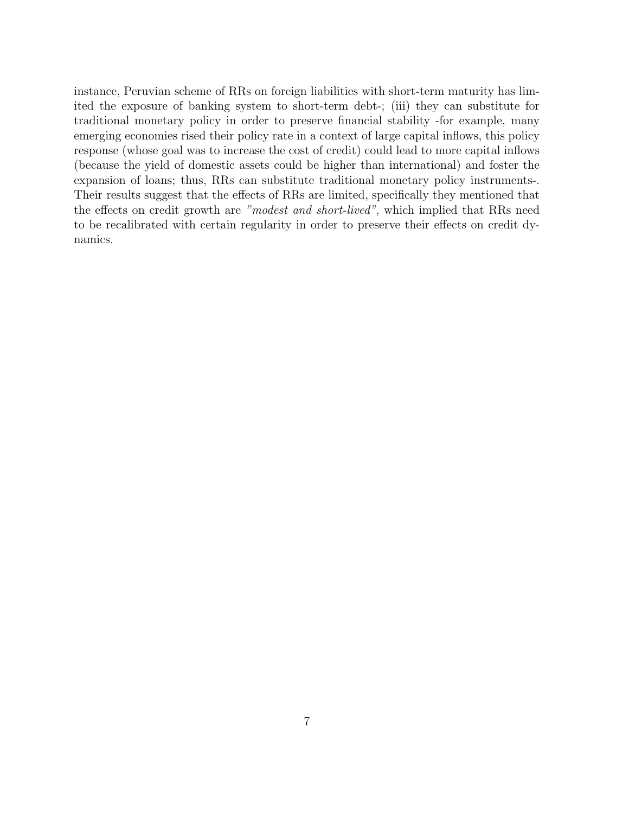instance, Peruvian scheme of RRs on foreign liabilities with short-term maturity has limited the exposure of banking system to short-term debt-; (iii) they can substitute for traditional monetary policy in order to preserve financial stability -for example, many emerging economies rised their policy rate in a context of large capital inflows, this policy response (whose goal was to increase the cost of credit) could lead to more capital inflows (because the yield of domestic assets could be higher than international) and foster the expansion of loans; thus, RRs can substitute traditional monetary policy instruments-. Their results suggest that the effects of RRs are limited, specifically they mentioned that the effects on credit growth are "modest and short-lived", which implied that RRs need to be recalibrated with certain regularity in order to preserve their effects on credit dynamics.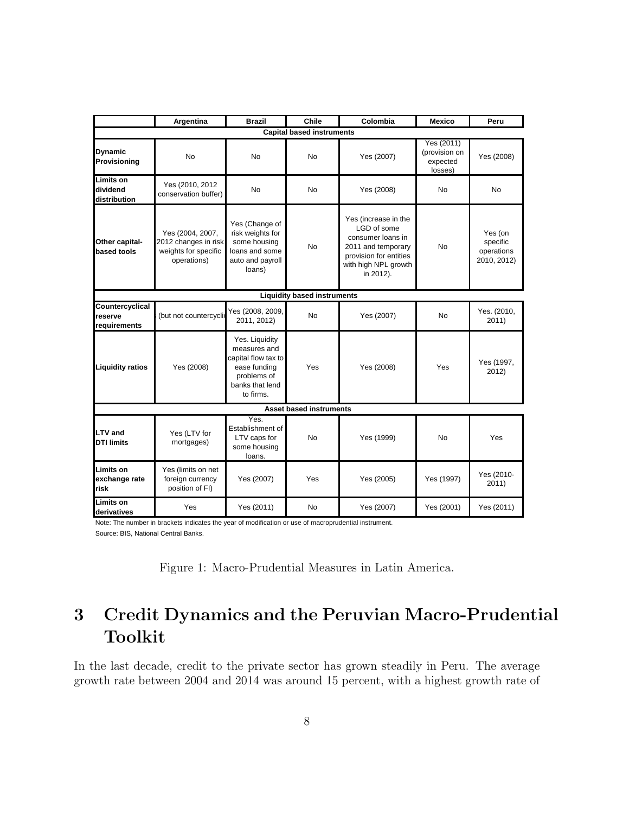|                                              | Argentina                                                                       | <b>Brazil</b>                                                                                                        | Chile                              | Colombia                                                                                                                                      | <b>Mexico</b>                                      | Peru                                             |
|----------------------------------------------|---------------------------------------------------------------------------------|----------------------------------------------------------------------------------------------------------------------|------------------------------------|-----------------------------------------------------------------------------------------------------------------------------------------------|----------------------------------------------------|--------------------------------------------------|
|                                              |                                                                                 |                                                                                                                      | <b>Capital based instruments</b>   |                                                                                                                                               |                                                    |                                                  |
| <b>Dynamic</b><br>Provisioning               | No                                                                              | <b>No</b>                                                                                                            | <b>No</b>                          | Yes (2007)                                                                                                                                    | Yes (2011)<br>(provision on<br>expected<br>losses) | Yes (2008)                                       |
| <b>Limits on</b><br>dividend<br>distribution | Yes (2010, 2012)<br>conservation buffer)                                        | <b>No</b>                                                                                                            | <b>No</b>                          | Yes (2008)                                                                                                                                    | No                                                 | <b>No</b>                                        |
| Other capital-<br>based tools                | Yes (2004, 2007,<br>2012 changes in risk<br>weights for specific<br>operations) | Yes (Change of<br>risk weights for<br>some housing<br>loans and some<br>auto and payroll<br>loans)                   | No                                 | Yes (increase in the<br>LGD of some<br>consumer loans in<br>2011 and temporary<br>provision for entities<br>with high NPL growth<br>in 2012). | No.                                                | Yes (on<br>specific<br>operations<br>2010, 2012) |
|                                              |                                                                                 |                                                                                                                      | <b>Liquidity based instruments</b> |                                                                                                                                               |                                                    |                                                  |
| Countercyclical<br>reserve<br>requirements   | (but not countercycli                                                           | Yes (2008, 2009,<br>2011, 2012)                                                                                      | No.                                | Yes (2007)                                                                                                                                    | <b>No</b>                                          | Yes. (2010,<br>2011)                             |
| <b>Liquidity ratios</b>                      | Yes (2008)                                                                      | Yes. Liquidity<br>measures and<br>capital flow tax to<br>ease funding<br>problems of<br>banks that lend<br>to firms. | Yes                                | Yes (2008)                                                                                                                                    | Yes                                                | Yes (1997,<br>2012)                              |
|                                              |                                                                                 |                                                                                                                      | <b>Asset based instruments</b>     |                                                                                                                                               |                                                    |                                                  |
| <b>LTV</b> and<br><b>DTI limits</b>          | Yes (LTV for<br>mortgages)                                                      | Yes.<br>Establishment of<br>LTV caps for<br>some housing<br>loans.                                                   | <b>No</b>                          | Yes (1999)                                                                                                                                    | No                                                 | Yes                                              |
| Limits on<br>exchange rate<br>risk           | Yes (limits on net<br>foreign currency<br>position of FI)                       | Yes (2007)                                                                                                           | Yes                                | Yes (2005)                                                                                                                                    | Yes (1997)                                         | Yes (2010-<br>2011)                              |
| Limits on<br>derivatives                     | Yes                                                                             | Yes (2011)                                                                                                           | No                                 | Yes (2007)                                                                                                                                    | Yes (2001)                                         | Yes (2011)                                       |

Note: The number in brackets indicates the year of modification or use of macroprudential instrument.

Source: BIS, National Central Banks.

|  | Figure 1: Macro-Prudential Measures in Latin America. |  |  |  |  |
|--|-------------------------------------------------------|--|--|--|--|
|--|-------------------------------------------------------|--|--|--|--|

## 3 Credit Dynamics and the Peruvian Macro-Prudential Toolkit

In the last decade, credit to the private sector has grown steadily in Peru. The average growth rate between 2004 and 2014 was around 15 percent, with a highest growth rate of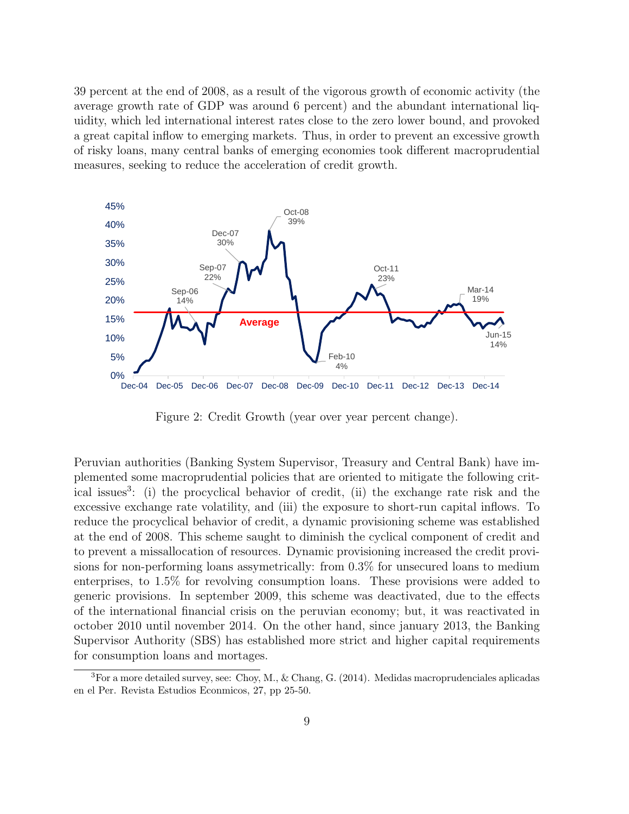39 percent at the end of 2008, as a result of the vigorous growth of economic activity (the average growth rate of GDP was around 6 percent) and the abundant international liquidity, which led international interest rates close to the zero lower bound, and provoked a great capital inflow to emerging markets. Thus, in order to prevent an excessive growth of risky loans, many central banks of emerging economies took different macroprudential measures, seeking to reduce the acceleration of credit growth.



Figure 2: Credit Growth (year over year percent change).

Peruvian authorities (Banking System Supervisor, Treasury and Central Bank) have implemented some macroprudential policies that are oriented to mitigate the following critical issues<sup>3</sup>: (i) the procyclical behavior of credit, (ii) the exchange rate risk and the excessive exchange rate volatility, and (iii) the exposure to short-run capital inflows. To reduce the procyclical behavior of credit, a dynamic provisioning scheme was established at the end of 2008. This scheme saught to diminish the cyclical component of credit and to prevent a missallocation of resources. Dynamic provisioning increased the credit provisions for non-performing loans assymetrically: from 0.3% for unsecured loans to medium enterprises, to 1.5% for revolving consumption loans. These provisions were added to generic provisions. In september 2009, this scheme was deactivated, due to the effects of the international financial crisis on the peruvian economy; but, it was reactivated in october 2010 until november 2014. On the other hand, since january 2013, the Banking Supervisor Authority (SBS) has established more strict and higher capital requirements for consumption loans and mortages.

 ${}^{3}$ For a more detailed survey, see: Choy, M., & Chang, G. (2014). Medidas macroprudenciales aplicadas en el Per. Revista Estudios Econmicos, 27, pp 25-50.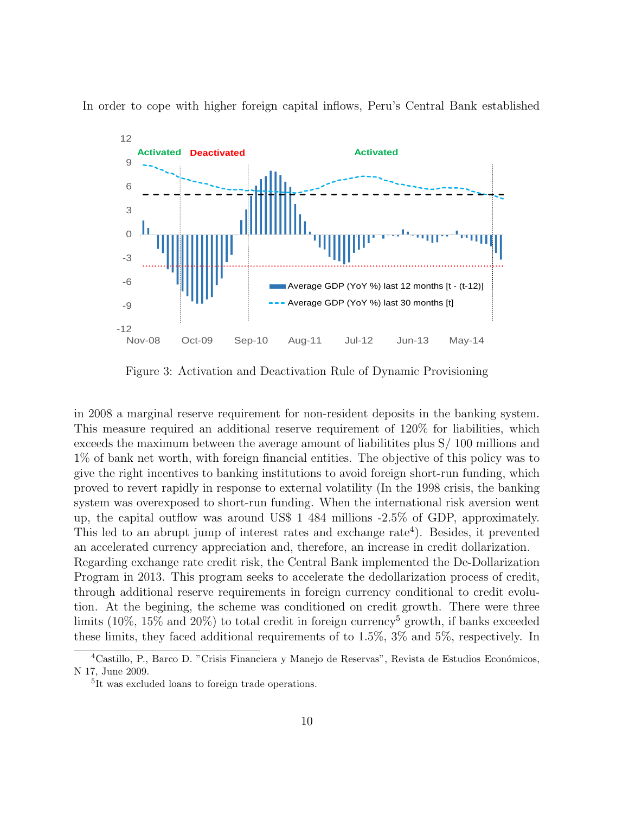In order to cope with higher foreign capital inflows, Peru's Central Bank established



Figure 3: Activation and Deactivation Rule of Dynamic Provisioning

in 2008 a marginal reserve requirement for non-resident deposits in the banking system. This measure required an additional reserve requirement of 120% for liabilities, which exceeds the maximum between the average amount of liabilitites plus S/ 100 millions and 1% of bank net worth, with foreign financial entities. The objective of this policy was to give the right incentives to banking institutions to avoid foreign short-run funding, which proved to revert rapidly in response to external volatility (In the 1998 crisis, the banking system was overexposed to short-run funding. When the international risk aversion went up, the capital outflow was around US\$ 1 484 millions -2.5% of GDP, approximately. This led to an abrupt jump of interest rates and exchange rate<sup>4</sup>). Besides, it prevented an accelerated currency appreciation and, therefore, an increase in credit dollarization. Regarding exchange rate credit risk, the Central Bank implemented the De-Dollarization Program in 2013. This program seeks to accelerate the dedollarization process of credit, through additional reserve requirements in foreign currency conditional to credit evolution. At the begining, the scheme was conditioned on credit growth. There were three limits (10%, 15% and 20%) to total credit in foreign currency<sup>5</sup> growth, if banks exceeded these limits, they faced additional requirements of to 1.5%, 3% and 5%, respectively. In

 ${}^{4}$ Castillo, P., Barco D. "Crisis Financiera y Manejo de Reservas", Revista de Estudios Económicos, N 17, June 2009.

<sup>5</sup> It was excluded loans to foreign trade operations.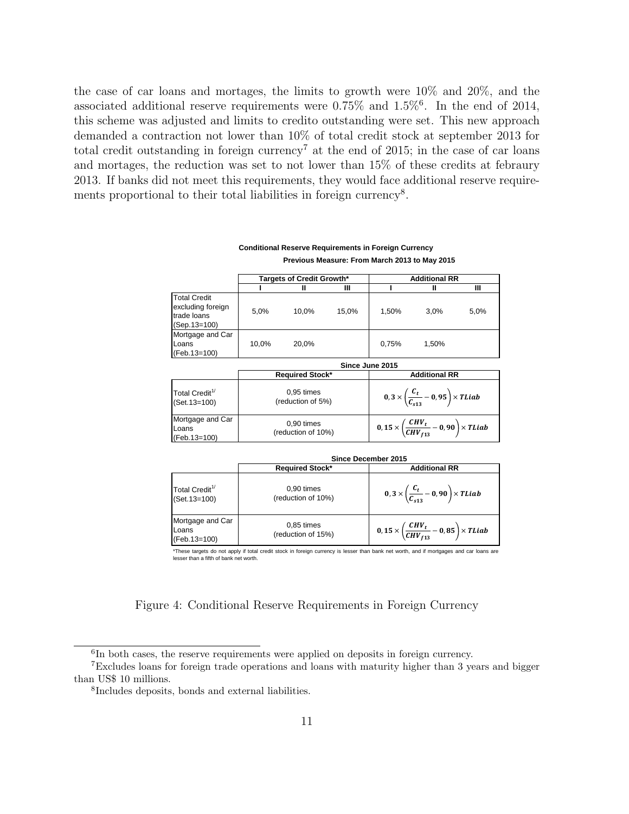the case of car loans and mortages, the limits to growth were 10% and 20%, and the associated additional reserve requirements were  $0.75\%$  and  $1.5\%$ <sup>6</sup>. In the end of 2014, this scheme was adjusted and limits to credito outstanding were set. This new approach demanded a contraction not lower than 10% of total credit stock at september 2013 for total credit outstanding in foreign currency<sup>7</sup> at the end of 2015; in the case of car loans and mortages, the reduction was set to not lower than 15% of these credits at febraury 2013. If banks did not meet this requirements, they would face additional reserve requirements proportional to their total liabilities in foreign currency<sup>8</sup>.

|                                                                           |       |                                   |       | Previous Measure: From March 2013 to May 2015                |                      |      |  |
|---------------------------------------------------------------------------|-------|-----------------------------------|-------|--------------------------------------------------------------|----------------------|------|--|
|                                                                           |       | Targets of Credit Growth*         |       |                                                              | <b>Additional RR</b> |      |  |
|                                                                           |       | Ш                                 | Ш     |                                                              | Ш                    | Ш    |  |
| <b>Total Credit</b><br>excluding foreign<br>trade loans<br>$(Sep.13=100)$ | 5,0%  | 10,0%                             | 15,0% | 1,50%                                                        | 3.0%                 | 5,0% |  |
| Mortgage and Car<br>Loans<br>(Feb.13=100)                                 | 10,0% | 20.0%                             |       | 0,75%                                                        | 1.50%                |      |  |
|                                                                           |       |                                   |       | Since June 2015                                              |                      |      |  |
|                                                                           |       | <b>Required Stock*</b>            |       |                                                              | <b>Additional RR</b> |      |  |
| Total Credit <sup>1/</sup><br>(Set. 13=100)                               |       | $0.95$ times<br>(reduction of 5%) |       | $0,3\times\left(\frac{C_t}{C_{c12}}-0,95\right)\times TLiab$ |                      |      |  |
| Mortgage and Car                                                          |       | $0.00$ times                      |       |                                                              | $\angle$ CHV         |      |  |

**Conditional Reserve Requirements in Foreign Currency**

|                                             | Since December 2015                |                                                                         |  |  |  |
|---------------------------------------------|------------------------------------|-------------------------------------------------------------------------|--|--|--|
|                                             | <b>Required Stock*</b>             | <b>Additional RR</b>                                                    |  |  |  |
| Total Credit <sup>1/</sup><br>(Set. 13=100) | 0,90 times<br>(reduction of 10%)   | $0, 3 \times \left(\frac{C_t}{C_{s12}} - 0,90\right) \times TLiab$      |  |  |  |
| Mortgage and Car<br>Loans<br>(Feb.13=100)   | $0.85$ times<br>(reduction of 15%) | 0, 15 $\times$ $\left(\frac{CHV_t}{CHV_{f13}}-0.85\right) \times TLiab$ |  |  |  |

 $0, 15 \times \left( \frac{CHV_t}{G_{\rm max}} \right)$ 

 $\left(\frac{S_{11} + I}{CHV_{f13}} - 0.90\right) \times TLiab$ 

\*These targets do not apply if total credit stock in foreign currency is lesser than bank net worth, and if mortgages and car loans are lesser than a fifth of bank net worth.

#### Figure 4: Conditional Reserve Requirements in Foreign Currency

0,90 times (reduction of 10%)

Loans (Feb.13=100)

<sup>&</sup>lt;sup>6</sup>In both cases, the reserve requirements were applied on deposits in foreign currency.

<sup>7</sup>Excludes loans for foreign trade operations and loans with maturity higher than 3 years and bigger than US\$ 10 millions.

<sup>8</sup> Includes deposits, bonds and external liabilities.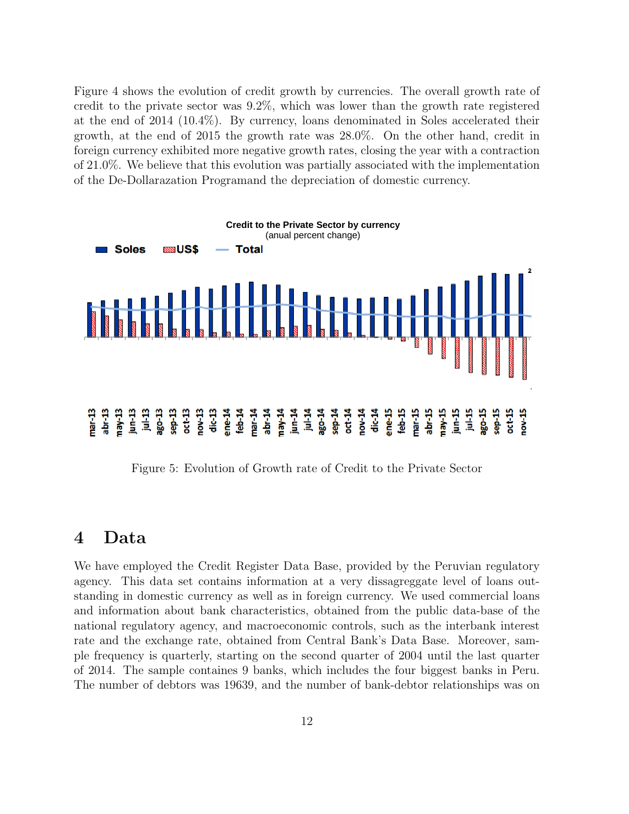Figure 4 shows the evolution of credit growth by currencies. The overall growth rate of credit to the private sector was 9.2%, which was lower than the growth rate registered at the end of 2014 (10.4%). By currency, loans denominated in Soles accelerated their growth, at the end of 2015 the growth rate was 28.0%. On the other hand, credit in foreign currency exhibited more negative growth rates, closing the year with a contraction of 21.0%. We believe that this evolution was partially associated with the implementation of the De-Dollarazation Programand the depreciation of domestic currency.



Figure 5: Evolution of Growth rate of Credit to the Private Sector

#### 4 Data

We have employed the Credit Register Data Base, provided by the Peruvian regulatory agency. This data set contains information at a very dissagreggate level of loans outstanding in domestic currency as well as in foreign currency. We used commercial loans and information about bank characteristics, obtained from the public data-base of the national regulatory agency, and macroeconomic controls, such as the interbank interest rate and the exchange rate, obtained from Central Bank's Data Base. Moreover, sample frequency is quarterly, starting on the second quarter of 2004 until the last quarter of 2014. The sample containes 9 banks, which includes the four biggest banks in Peru. The number of debtors was 19639, and the number of bank-debtor relationships was on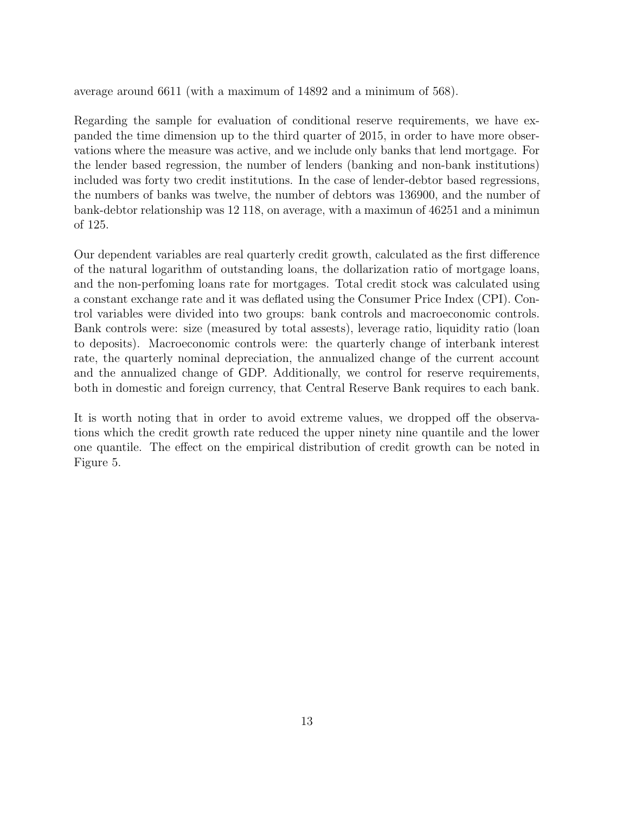average around 6611 (with a maximum of 14892 and a minimum of 568).

Regarding the sample for evaluation of conditional reserve requirements, we have expanded the time dimension up to the third quarter of 2015, in order to have more observations where the measure was active, and we include only banks that lend mortgage. For the lender based regression, the number of lenders (banking and non-bank institutions) included was forty two credit institutions. In the case of lender-debtor based regressions, the numbers of banks was twelve, the number of debtors was 136900, and the number of bank-debtor relationship was 12 118, on average, with a maximun of 46251 and a minimun of 125.

Our dependent variables are real quarterly credit growth, calculated as the first difference of the natural logarithm of outstanding loans, the dollarization ratio of mortgage loans, and the non-perfoming loans rate for mortgages. Total credit stock was calculated using a constant exchange rate and it was deflated using the Consumer Price Index (CPI). Control variables were divided into two groups: bank controls and macroeconomic controls. Bank controls were: size (measured by total assests), leverage ratio, liquidity ratio (loan to deposits). Macroeconomic controls were: the quarterly change of interbank interest rate, the quarterly nominal depreciation, the annualized change of the current account and the annualized change of GDP. Additionally, we control for reserve requirements, both in domestic and foreign currency, that Central Reserve Bank requires to each bank.

It is worth noting that in order to avoid extreme values, we dropped off the observations which the credit growth rate reduced the upper ninety nine quantile and the lower one quantile. The effect on the empirical distribution of credit growth can be noted in Figure 5.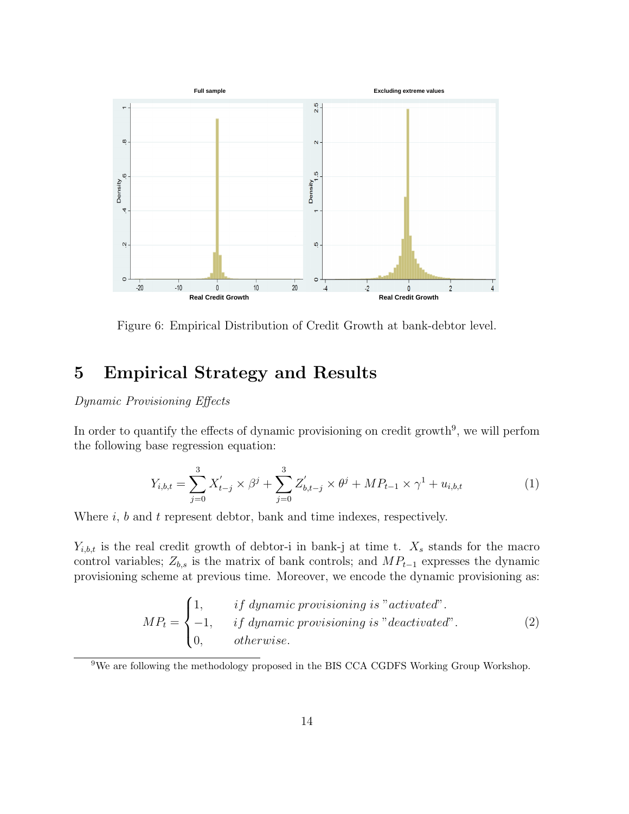

Figure 6: Empirical Distribution of Credit Growth at bank-debtor level.

## 5 Empirical Strategy and Results

#### Dynamic Provisioning Effects

In order to quantify the effects of dynamic provisioning on credit growth<sup>9</sup>, we will perfom the following base regression equation:

$$
Y_{i,b,t} = \sum_{j=0}^{3} X'_{t-j} \times \beta^j + \sum_{j=0}^{3} Z'_{b,t-j} \times \theta^j + MP_{t-1} \times \gamma^1 + u_{i,b,t}
$$
 (1)

Where  $i, b$  and  $t$  represent debtor, bank and time indexes, respectively.

 $Y_{i,b,t}$  is the real credit growth of debtor-i in bank-j at time t.  $X_s$  stands for the macro control variables;  $Z_{b,s}$  is the matrix of bank controls; and  $MP_{t-1}$  expresses the dynamic provisioning scheme at previous time. Moreover, we encode the dynamic provisioning as:

$$
MP_t = \begin{cases} 1, & if \; dynamic \; provisioning \; is "activated". \\ -1, & if \; dynamic \; provisioning \; is "deactivated". \\ 0, & otherwise. \end{cases} \tag{2}
$$

<sup>9</sup>We are following the methodology proposed in the BIS CCA CGDFS Working Group Workshop.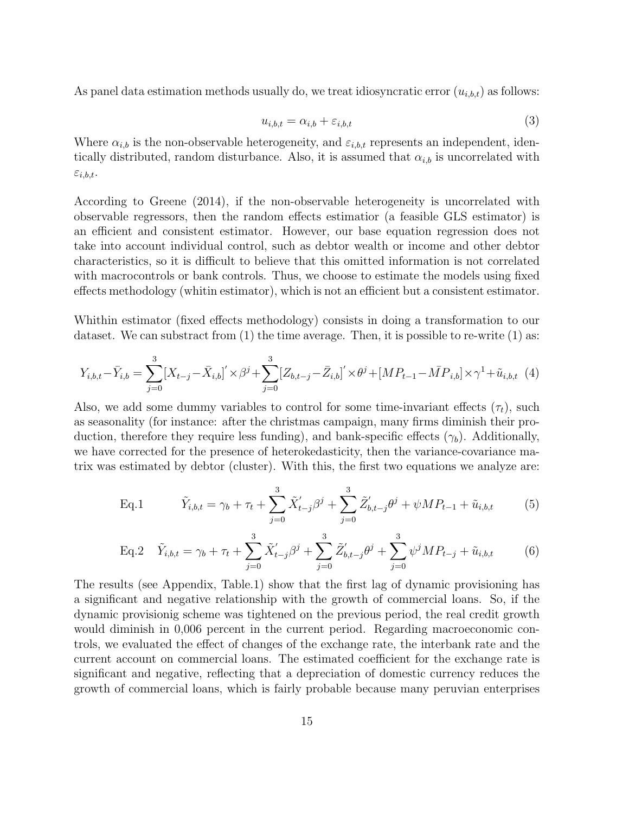As panel data estimation methods usually do, we treat idiosyncratic error  $(u_{i,b,t})$  as follows:

$$
u_{i,b,t} = \alpha_{i,b} + \varepsilon_{i,b,t} \tag{3}
$$

Where  $\alpha_{i,b}$  is the non-observable heterogeneity, and  $\varepsilon_{i,b,t}$  represents an independent, identically distributed, random disturbance. Also, it is assumed that  $\alpha_{i,b}$  is uncorrelated with  $\varepsilon_{i,b,t}.$ 

According to Greene (2014), if the non-observable heterogeneity is uncorrelated with observable regressors, then the random effects estimatior (a feasible GLS estimator) is an efficient and consistent estimator. However, our base equation regression does not take into account individual control, such as debtor wealth or income and other debtor characteristics, so it is difficult to believe that this omitted information is not correlated with macrocontrols or bank controls. Thus, we choose to estimate the models using fixed effects methodology (whitin estimator), which is not an efficient but a consistent estimator.

Whithin estimator (fixed effects methodology) consists in doing a transformation to our dataset. We can substract from  $(1)$  the time average. Then, it is possible to re-write  $(1)$  as:

$$
Y_{i,b,t} - \bar{Y}_{i,b} = \sum_{j=0}^{3} [X_{t-j} - \bar{X}_{i,b}]' \times \beta^{j} + \sum_{j=0}^{3} [Z_{b,t-j} - \bar{Z}_{i,b}]' \times \theta^{j} + [MP_{t-1} - \bar{MP}_{i,b}] \times \gamma^{1} + \tilde{u}_{i,b,t} \tag{4}
$$

Also, we add some dummy variables to control for some time-invariant effects  $(\tau_t)$ , such as seasonality (for instance: after the christmas campaign, many firms diminish their production, therefore they require less funding), and bank-specific effects  $(\gamma_b)$ . Additionally, we have corrected for the presence of heterokedasticity, then the variance-covariance matrix was estimated by debtor (cluster). With this, the first two equations we analyze are:

Eq.1 
$$
\tilde{Y}_{i,b,t} = \gamma_b + \tau_t + \sum_{j=0}^3 \tilde{X}'_{t-j} \beta^j + \sum_{j=0}^3 \tilde{Z}'_{b,t-j} \theta^j + \psi M P_{t-1} + \tilde{u}_{i,b,t}
$$
(5)

Eq.2 
$$
\tilde{Y}_{i,b,t} = \gamma_b + \tau_t + \sum_{j=0}^3 \tilde{X}'_{t-j} \beta^j + \sum_{j=0}^3 \tilde{Z}'_{b,t-j} \theta^j + \sum_{j=0}^3 \psi^j M P_{t-j} + \tilde{u}_{i,b,t}
$$
 (6)

The results (see Appendix, Table.1) show that the first lag of dynamic provisioning has a significant and negative relationship with the growth of commercial loans. So, if the dynamic provisionig scheme was tightened on the previous period, the real credit growth would diminish in 0,006 percent in the current period. Regarding macroeconomic controls, we evaluated the effect of changes of the exchange rate, the interbank rate and the current account on commercial loans. The estimated coefficient for the exchange rate is significant and negative, reflecting that a depreciation of domestic currency reduces the growth of commercial loans, which is fairly probable because many peruvian enterprises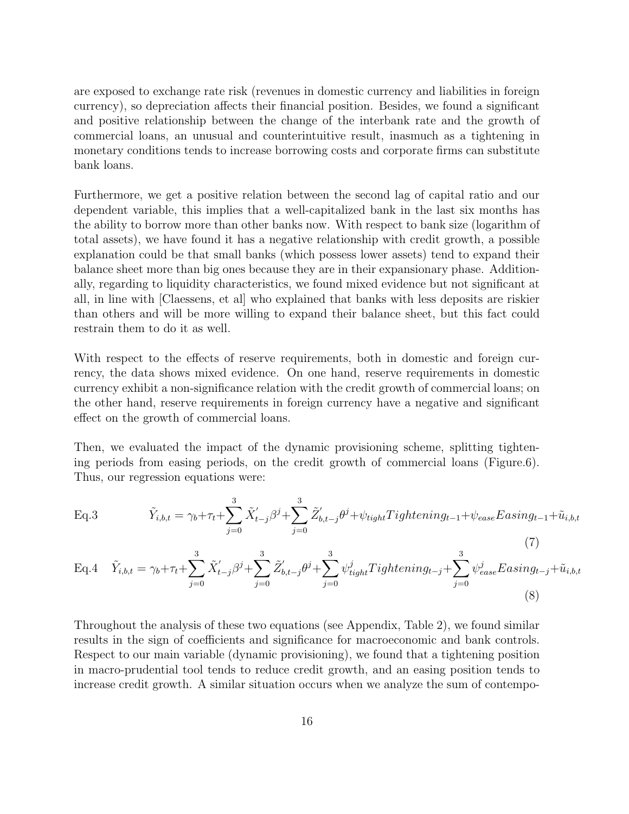are exposed to exchange rate risk (revenues in domestic currency and liabilities in foreign currency), so depreciation affects their financial position. Besides, we found a significant and positive relationship between the change of the interbank rate and the growth of commercial loans, an unusual and counterintuitive result, inasmuch as a tightening in monetary conditions tends to increase borrowing costs and corporate firms can substitute bank loans.

Furthermore, we get a positive relation between the second lag of capital ratio and our dependent variable, this implies that a well-capitalized bank in the last six months has the ability to borrow more than other banks now. With respect to bank size (logarithm of total assets), we have found it has a negative relationship with credit growth, a possible explanation could be that small banks (which possess lower assets) tend to expand their balance sheet more than big ones because they are in their expansionary phase. Additionally, regarding to liquidity characteristics, we found mixed evidence but not significant at all, in line with [Claessens, et al] who explained that banks with less deposits are riskier than others and will be more willing to expand their balance sheet, but this fact could restrain them to do it as well.

With respect to the effects of reserve requirements, both in domestic and foreign currency, the data shows mixed evidence. On one hand, reserve requirements in domestic currency exhibit a non-significance relation with the credit growth of commercial loans; on the other hand, reserve requirements in foreign currency have a negative and significant effect on the growth of commercial loans.

Then, we evaluated the impact of the dynamic provisioning scheme, splitting tightening periods from easing periods, on the credit growth of commercial loans (Figure.6). Thus, our regression equations were:

Eq.3 
$$
\tilde{Y}_{i,b,t} = \gamma_b + \tau_t + \sum_{j=0}^3 \tilde{X}'_{t-j} \beta^j + \sum_{j=0}^3 \tilde{Z}'_{b,t-j} \theta^j + \psi_{tight} Tighthening_{t-1} + \psi_{ease} Easing_{t-1} + \tilde{u}_{i,b,t}
$$
\n(7)

Eq.4 
$$
\tilde{Y}_{i,b,t} = \gamma_b + \tau_t + \sum_{j=0}^3 \tilde{X}'_{t-j} \beta^j + \sum_{j=0}^3 \tilde{Z}'_{b,t-j} \theta^j + \sum_{j=0}^3 \psi^j_{tight} Tighthening_{t-j} + \sum_{j=0}^3 \psi^j_{ease} Easing_{t-j} + \tilde{u}_{i,b,t}
$$
\n(8)

Throughout the analysis of these two equations (see Appendix, Table 2), we found similar results in the sign of coefficients and significance for macroeconomic and bank controls. Respect to our main variable (dynamic provisioning), we found that a tightening position in macro-prudential tool tends to reduce credit growth, and an easing position tends to increase credit growth. A similar situation occurs when we analyze the sum of contempo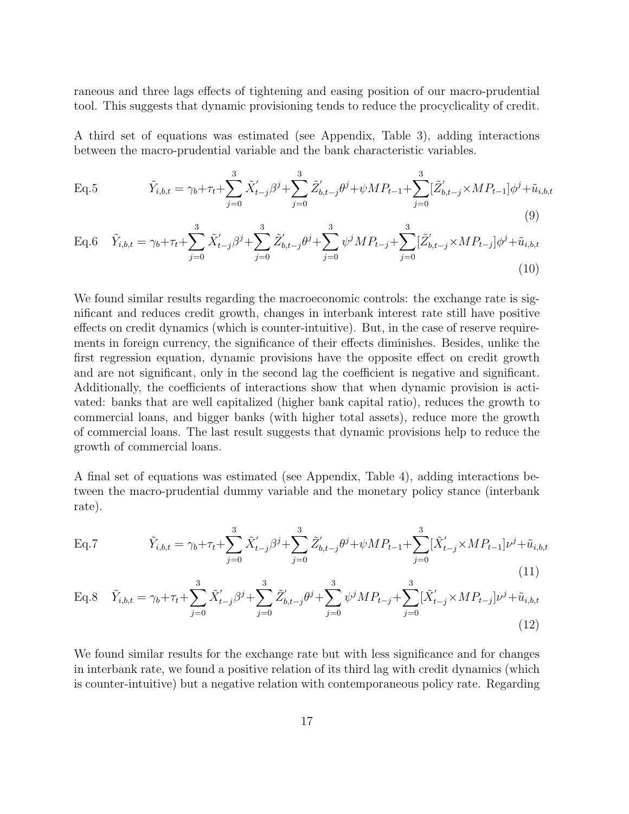raneous and three lags effects of tightening and easing position of our macro-prudential tool. This suggests that dynamic provisioning tends to reduce the procyclicality of credit.

A third set of equations was estimated (see Appendix, Table 3), adding interactions between the macro-prudential variable and the bank characteristic variables.

Eq.5 
$$
\tilde{Y}_{i,b,t} = \gamma_b + \tau_t + \sum_{j=0}^3 \tilde{X}'_{t-j} \beta^j + \sum_{j=0}^3 \tilde{Z}'_{b,t-j} \theta^j + \psi M P_{t-1} + \sum_{j=0}^3 [\tilde{Z}'_{b,t-j} \times M P_{t-1}] \phi^j + \tilde{u}_{i,b,t}
$$
\n(9)

Eq.6 
$$
\tilde{Y}_{i,b,t} = \gamma_b + \tau_t + \sum_{j=0}^3 \tilde{X}'_{t-j} \beta^j + \sum_{j=0}^3 \tilde{Z}'_{b,t-j} \theta^j + \sum_{j=0}^3 \psi^j M P_{t-j} + \sum_{j=0}^3 [\tilde{Z}'_{b,t-j} \times M P_{t-j}] \phi^j + \tilde{u}_{i,b,t}
$$
\n(10)

We found similar results regarding the macroeconomic controls: the exchange rate is significant and reduces credit growth, changes in interbank interest rate still have positive effects on credit dynamics (which is counter-intuitive). But, in the case of reserve requirements in foreign currency, the significance of their effects diminishes. Besides, unlike the first regression equation, dynamic provisions have the opposite effect on credit growth and are not significant, only in the second lag the coefficient is negative and significant. Additionally, the coefficients of interactions show that when dynamic provision is activated: banks that are well capitalized (higher bank capital ratio), reduces the growth to commercial loans, and bigger banks (with higher total assets), reduce more the growth of commercial loans. The last result suggests that dynamic provisions help to reduce the growth of commercial loans.

A final set of equations was estimated (see Appendix, Table 4), adding interactions between the macro-prudential dummy variable and the monetary policy stance (interbank rate).

Eq.7 
$$
\tilde{Y}_{i,b,t} = \gamma_b + \tau_t + \sum_{j=0}^3 \tilde{X}'_{t-j} \beta^j + \sum_{j=0}^3 \tilde{Z}'_{b,t-j} \theta^j + \psi M P_{t-1} + \sum_{j=0}^3 [\tilde{X}'_{t-j} \times M P_{t-1}] \nu^j + \tilde{u}_{i,b,t}
$$
\n(11)

Eq.8 
$$
\tilde{Y}_{i,b,t} = \gamma_b + \tau_t + \sum_{j=0}^3 \tilde{X}'_{t-j} \beta^j + \sum_{j=0}^3 \tilde{Z}'_{b,t-j} \theta^j + \sum_{j=0}^3 \psi^j M P_{t-j} + \sum_{j=0}^3 [\tilde{X}'_{t-j} \times M P_{t-j}] \nu^j + \tilde{u}_{i,b,t}
$$
\n(12)

We found similar results for the exchange rate but with less significance and for changes in interbank rate, we found a positive relation of its third lag with credit dynamics (which is counter-intuitive) but a negative relation with contemporaneous policy rate. Regarding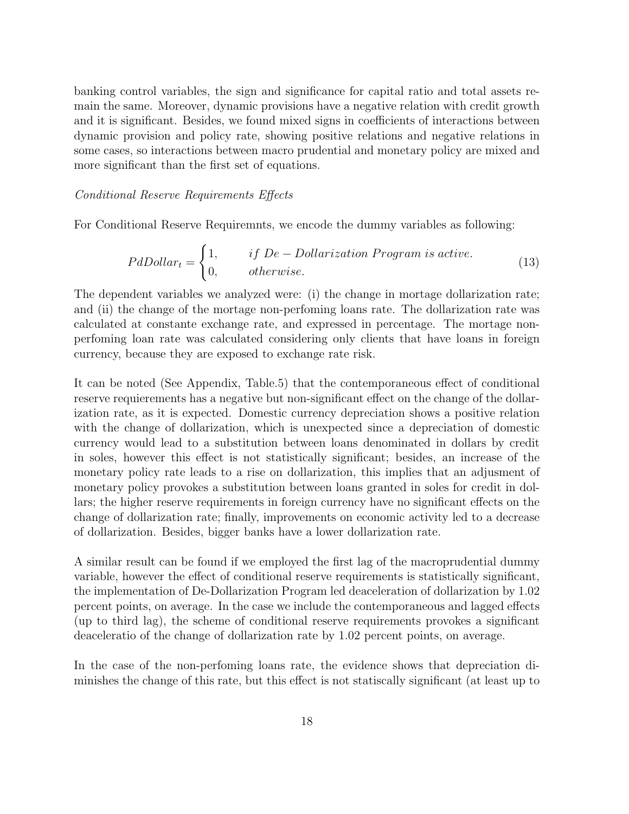banking control variables, the sign and significance for capital ratio and total assets remain the same. Moreover, dynamic provisions have a negative relation with credit growth and it is significant. Besides, we found mixed signs in coefficients of interactions between dynamic provision and policy rate, showing positive relations and negative relations in some cases, so interactions between macro prudential and monetary policy are mixed and more significant than the first set of equations.

#### Conditional Reserve Requirements Effects

For Conditional Reserve Requiremnts, we encode the dummy variables as following:

$$
PdDollar_t = \begin{cases} 1, & if \ De-Dollarization Program is active. \\ 0, & otherwise. \end{cases}
$$
 (13)

The dependent variables we analyzed were: (i) the change in mortage dollarization rate; and (ii) the change of the mortage non-perfoming loans rate. The dollarization rate was calculated at constante exchange rate, and expressed in percentage. The mortage nonperfoming loan rate was calculated considering only clients that have loans in foreign currency, because they are exposed to exchange rate risk.

It can be noted (See Appendix, Table.5) that the contemporaneous effect of conditional reserve requierements has a negative but non-significant effect on the change of the dollarization rate, as it is expected. Domestic currency depreciation shows a positive relation with the change of dollarization, which is unexpected since a depreciation of domestic currency would lead to a substitution between loans denominated in dollars by credit in soles, however this effect is not statistically significant; besides, an increase of the monetary policy rate leads to a rise on dollarization, this implies that an adjusment of monetary policy provokes a substitution between loans granted in soles for credit in dollars; the higher reserve requirements in foreign currency have no significant effects on the change of dollarization rate; finally, improvements on economic activity led to a decrease of dollarization. Besides, bigger banks have a lower dollarization rate.

A similar result can be found if we employed the first lag of the macroprudential dummy variable, however the effect of conditional reserve requirements is statistically significant, the implementation of De-Dollarization Program led deaceleration of dollarization by 1.02 percent points, on average. In the case we include the contemporaneous and lagged effects (up to third lag), the scheme of conditional reserve requirements provokes a significant deaceleratio of the change of dollarization rate by 1.02 percent points, on average.

In the case of the non-perfoming loans rate, the evidence shows that depreciation diminishes the change of this rate, but this effect is not statiscally significant (at least up to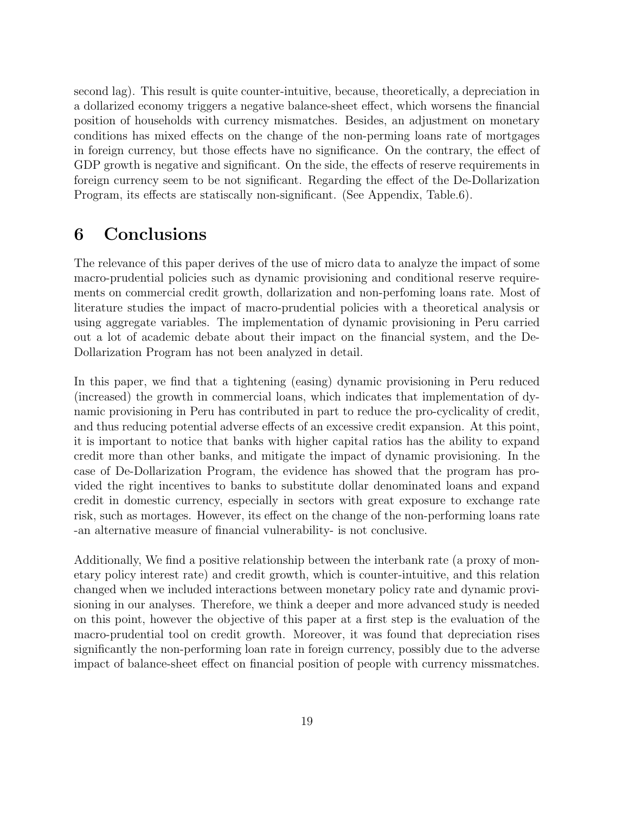second lag). This result is quite counter-intuitive, because, theoretically, a depreciation in a dollarized economy triggers a negative balance-sheet effect, which worsens the financial position of households with currency mismatches. Besides, an adjustment on monetary conditions has mixed effects on the change of the non-perming loans rate of mortgages in foreign currency, but those effects have no significance. On the contrary, the effect of GDP growth is negative and significant. On the side, the effects of reserve requirements in foreign currency seem to be not significant. Regarding the effect of the De-Dollarization Program, its effects are statiscally non-significant. (See Appendix, Table.6).

## 6 Conclusions

The relevance of this paper derives of the use of micro data to analyze the impact of some macro-prudential policies such as dynamic provisioning and conditional reserve requirements on commercial credit growth, dollarization and non-perfoming loans rate. Most of literature studies the impact of macro-prudential policies with a theoretical analysis or using aggregate variables. The implementation of dynamic provisioning in Peru carried out a lot of academic debate about their impact on the financial system, and the De-Dollarization Program has not been analyzed in detail.

In this paper, we find that a tightening (easing) dynamic provisioning in Peru reduced (increased) the growth in commercial loans, which indicates that implementation of dynamic provisioning in Peru has contributed in part to reduce the pro-cyclicality of credit, and thus reducing potential adverse effects of an excessive credit expansion. At this point, it is important to notice that banks with higher capital ratios has the ability to expand credit more than other banks, and mitigate the impact of dynamic provisioning. In the case of De-Dollarization Program, the evidence has showed that the program has provided the right incentives to banks to substitute dollar denominated loans and expand credit in domestic currency, especially in sectors with great exposure to exchange rate risk, such as mortages. However, its effect on the change of the non-performing loans rate -an alternative measure of financial vulnerability- is not conclusive.

Additionally, We find a positive relationship between the interbank rate (a proxy of monetary policy interest rate) and credit growth, which is counter-intuitive, and this relation changed when we included interactions between monetary policy rate and dynamic provisioning in our analyses. Therefore, we think a deeper and more advanced study is needed on this point, however the objective of this paper at a first step is the evaluation of the macro-prudential tool on credit growth. Moreover, it was found that depreciation rises significantly the non-performing loan rate in foreign currency, possibly due to the adverse impact of balance-sheet effect on financial position of people with currency missmatches.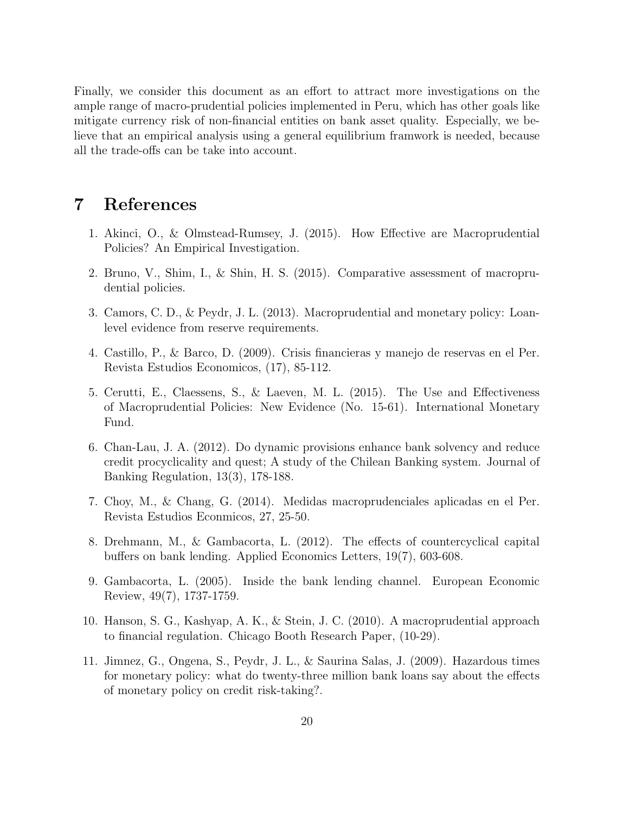Finally, we consider this document as an effort to attract more investigations on the ample range of macro-prudential policies implemented in Peru, which has other goals like mitigate currency risk of non-financial entities on bank asset quality. Especially, we believe that an empirical analysis using a general equilibrium framwork is needed, because all the trade-offs can be take into account.

### 7 References

- 1. Akinci, O., & Olmstead-Rumsey, J. (2015). How Effective are Macroprudential Policies? An Empirical Investigation.
- 2. Bruno, V., Shim, I., & Shin, H. S. (2015). Comparative assessment of macroprudential policies.
- 3. Camors, C. D., & Peydr, J. L. (2013). Macroprudential and monetary policy: Loanlevel evidence from reserve requirements.
- 4. Castillo, P., & Barco, D. (2009). Crisis financieras y manejo de reservas en el Per. Revista Estudios Economicos, (17), 85-112.
- 5. Cerutti, E., Claessens, S., & Laeven, M. L. (2015). The Use and Effectiveness of Macroprudential Policies: New Evidence (No. 15-61). International Monetary Fund.
- 6. Chan-Lau, J. A. (2012). Do dynamic provisions enhance bank solvency and reduce credit procyclicality and quest; A study of the Chilean Banking system. Journal of Banking Regulation, 13(3), 178-188.
- 7. Choy, M., & Chang, G. (2014). Medidas macroprudenciales aplicadas en el Per. Revista Estudios Econmicos, 27, 25-50.
- 8. Drehmann, M., & Gambacorta, L. (2012). The effects of countercyclical capital buffers on bank lending. Applied Economics Letters, 19(7), 603-608.
- 9. Gambacorta, L. (2005). Inside the bank lending channel. European Economic Review, 49(7), 1737-1759.
- 10. Hanson, S. G., Kashyap, A. K., & Stein, J. C. (2010). A macroprudential approach to financial regulation. Chicago Booth Research Paper, (10-29).
- 11. Jimnez, G., Ongena, S., Peydr, J. L., & Saurina Salas, J. (2009). Hazardous times for monetary policy: what do twenty-three million bank loans say about the effects of monetary policy on credit risk-taking?.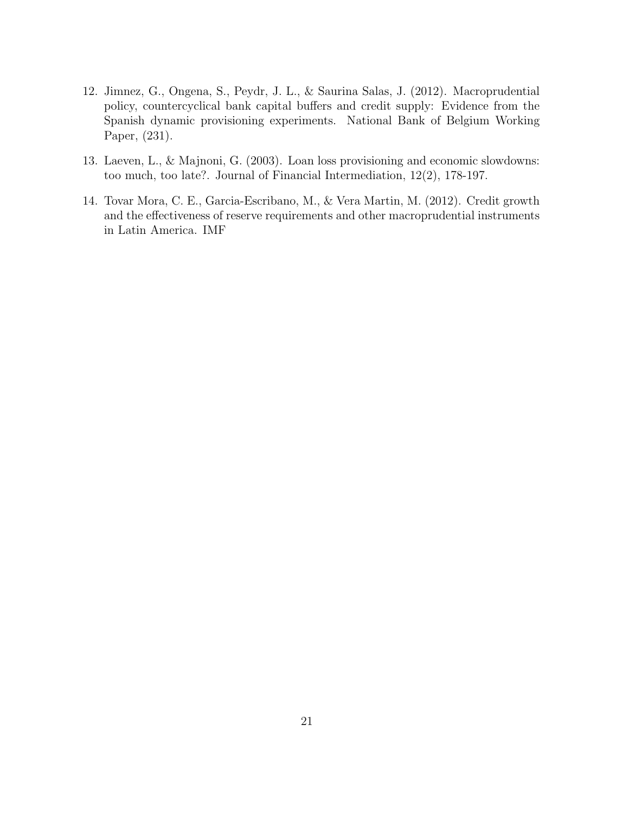- 12. Jimnez, G., Ongena, S., Peydr, J. L., & Saurina Salas, J. (2012). Macroprudential policy, countercyclical bank capital buffers and credit supply: Evidence from the Spanish dynamic provisioning experiments. National Bank of Belgium Working Paper, (231).
- 13. Laeven, L., & Majnoni, G. (2003). Loan loss provisioning and economic slowdowns: too much, too late?. Journal of Financial Intermediation, 12(2), 178-197.
- 14. Tovar Mora, C. E., Garcia-Escribano, M., & Vera Martin, M. (2012). Credit growth and the effectiveness of reserve requirements and other macroprudential instruments in Latin America. IMF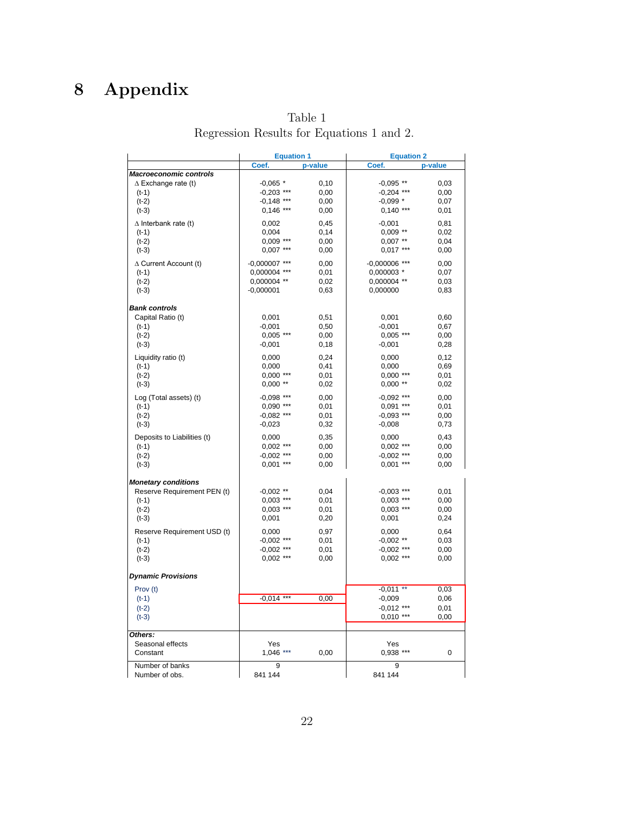# 8 Appendix

|                                           | Table 1 |  |  |
|-------------------------------------------|---------|--|--|
| Regression Results for Equations 1 and 2. |         |  |  |

|                                           | <b>Equation 1</b> |         | <b>Equation 2</b> |         |  |
|-------------------------------------------|-------------------|---------|-------------------|---------|--|
|                                           | Coef.             | p-value | Coef.             | p-value |  |
| <b>Macroeconomic controls</b>             |                   |         |                   |         |  |
| $\Delta$ Exchange rate (t)                | $-0.065$ *        | 0,10    | $-0,095$ **       | 0,03    |  |
| $(t-1)$                                   | $-0,203$ ***      | 0,00    | $-0,204$ ***      | 0,00    |  |
| $(t-2)$                                   | $-0,148$ ***      | 0,00    | $-0.099*$         | 0,07    |  |
| $(t-3)$                                   | $0,146$ ***       | 0,00    | $0,140$ ***       | 0,01    |  |
| $\Delta$ Interbank rate (t)               | 0,002             | 0,45    | $-0,001$          | 0,81    |  |
| $(t-1)$                                   | 0,004             | 0,14    | $0,009$ **        | 0,02    |  |
| $(t-2)$                                   | 0,009 ***         | 0,00    | $0,007$ **        | 0,04    |  |
| $(t-3)$                                   | $0,007$ ***       | 0,00    | $0,017$ ***       | 0,00    |  |
| $\Delta$ Current Account (t)              | $-0,000007$ ***   | 0,00    | $-0,000006$ ***   | 0,00    |  |
| $(t-1)$                                   | 0,000004 ***      | 0,01    | 0,000003 *        | 0,07    |  |
| $(t-2)$                                   | 0,000004 **       | 0,02    | 0,000004 **       | 0,03    |  |
| $(t-3)$                                   | $-0,000001$       | 0,63    | 0,000000          | 0,83    |  |
|                                           |                   |         |                   |         |  |
| <b>Bank controls</b><br>Capital Ratio (t) | 0,001             | 0,51    | 0,001             | 0,60    |  |
| $(t-1)$                                   | $-0,001$          | 0,50    | $-0,001$          | 0,67    |  |
|                                           | $0,005$ ***       | 0,00    | $0,005$ ***       |         |  |
| $(t-2)$                                   | $-0,001$          |         |                   | 0,00    |  |
| $(t-3)$                                   |                   | 0,18    | $-0,001$          | 0,28    |  |
| Liquidity ratio (t)                       | 0,000             | 0,24    | 0,000             | 0,12    |  |
| $(t-1)$                                   | 0,000             | 0,41    | 0,000             | 0,69    |  |
| $(t-2)$                                   | $0,000$ ***       | 0,01    | $0,000$ ***       | 0,01    |  |
| $(t-3)$                                   | $0,000$ **        | 0,02    | $0,000$ **        | 0,02    |  |
| Log (Total assets) (t)                    | $-0.098$ ***      | 0.00    | $-0.092$ ***      | 0.00    |  |
| $(t-1)$                                   | 0,090 ***         | 0,01    | $0,091$ ***       | 0,01    |  |
| $(t-2)$                                   | $-0,082$ ***      | 0,01    | $-0,093$ ***      | 0,00    |  |
| $(t-3)$                                   | $-0,023$          | 0,32    | $-0,008$          | 0,73    |  |
| Deposits to Liabilities (t)               | 0,000             | 0,35    | 0,000             | 0,43    |  |
| $(t-1)$                                   | $0,002$ ***       | 0,00    | $0,002$ ***       | 0,00    |  |
| $(t-2)$                                   | $-0.002$ ***      | 0,00    | $-0,002$ ***      | 0,00    |  |
| $(t-3)$                                   | $0,001$ ***       | 0,00    | $0,001$ ***       | 0,00    |  |
| <b>Monetary conditions</b>                |                   |         |                   |         |  |
| Reserve Requirement PEN (t)               | $-0.002$ **       | 0,04    | $-0,003$ ***      | 0,01    |  |
| $(t-1)$                                   | $0,003$ ***       | 0,01    | $0,003$ ***       | 0,00    |  |
| $(t-2)$                                   | $0,003$ ***       | 0,01    | $0,003$ ***       | 0,00    |  |
| $(t-3)$                                   | 0,001             | 0,20    | 0,001             | 0,24    |  |
| Reserve Requirement USD (t)               | 0,000             | 0,97    | 0,000             | 0,64    |  |
| $(t-1)$                                   | $-0.002$ ***      | 0,01    | $-0,002$ **       | 0,03    |  |
| $(t-2)$                                   | $-0.002$ ***      | 0,01    | $-0,002$ ***      | 0,00    |  |
| $(t-3)$                                   | $0,002$ ***       | 0,00    | $0,002$ ***       | 0,00    |  |
|                                           |                   |         |                   |         |  |
| <b>Dynamic Provisions</b>                 |                   |         |                   |         |  |
| Prov (t)                                  |                   |         | $-0,011$ **       | 0,03    |  |
| $(t-1)$                                   | $-0,014$ ***      | 0,00    | $-0,009$          | 0,06    |  |
| $(t-2)$                                   |                   |         | $-0,012$ ***      | 0,01    |  |
| $(t-3)$                                   |                   |         | $0,010***$        | 0,00    |  |
| Others:                                   |                   |         |                   |         |  |
| Seasonal effects                          | Yes               |         | Yes               |         |  |
| Constant                                  | $1,046$ ***       | 0,00    | 0,938 ***         | 0       |  |
| Number of banks                           | 9                 |         | 9                 |         |  |
| Number of obs.                            | 841 144           |         | 841 144           |         |  |
|                                           |                   |         |                   |         |  |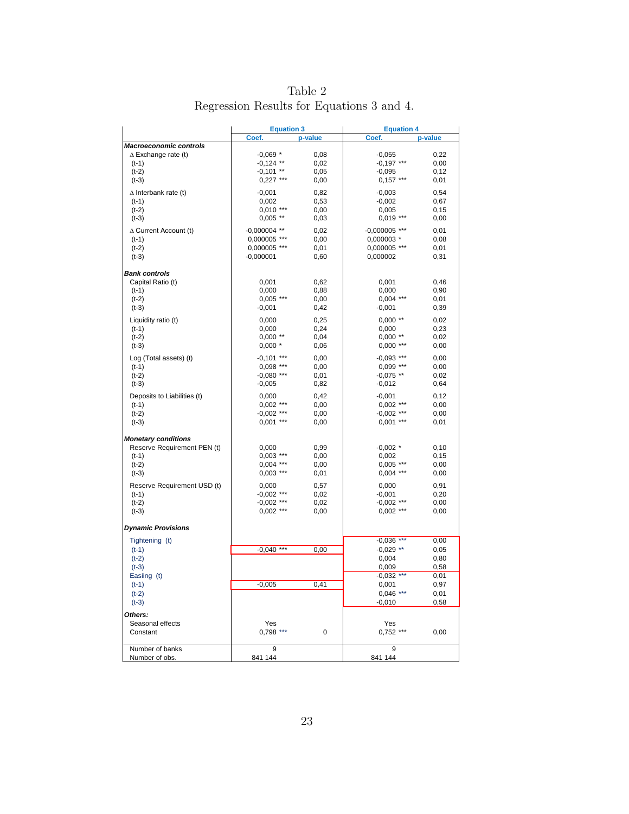| Table 2                                   |  |
|-------------------------------------------|--|
| Regression Results for Equations 3 and 4. |  |

|                               | <b>Equation 3</b> |         | <b>Equation 4</b> |         |  |
|-------------------------------|-------------------|---------|-------------------|---------|--|
|                               | Coef.             | p-value | Coef.             | p-value |  |
| <b>Macroeconomic controls</b> |                   |         |                   |         |  |
| $\Delta$ Exchange rate (t)    | $-0,069$ *        | 0,08    | $-0,055$          | 0,22    |  |
| $(t-1)$                       | $-0,124$ **       | 0,02    | $-0,197$ ***      | 0,00    |  |
| $(t-2)$                       | $-0,101$ **       | 0,05    | $-0,095$          | 0,12    |  |
| $(t-3)$                       | $0,227$ ***       | 0,00    | $0,157***$        | 0,01    |  |
| $\Delta$ Interbank rate (t)   | $-0,001$          | 0,82    | $-0,003$          | 0,54    |  |
| $(t-1)$                       | 0,002             | 0,53    | $-0,002$          | 0,67    |  |
| $(t-2)$                       | $0,010***$        | 0,00    | 0,005             | 0,15    |  |
| $(t-3)$                       | $0,005$ **        | 0,03    | $0,019$ ***       | 0,00    |  |
| $\Delta$ Current Account (t)  | $-0,000004$ **    | 0,02    | $-0,000005$ ***   | 0,01    |  |
| $(t-1)$                       | 0,000005 ***      | 0,00    | 0,000003 *        | 0,08    |  |
| $(t-2)$                       | 0,000005 ***      | 0,01    | 0,000005 ***      | 0,01    |  |
| $(t-3)$                       | $-0,000001$       | 0,60    | 0,000002          | 0,31    |  |
|                               |                   |         |                   |         |  |
| <b>Bank controls</b>          |                   |         |                   |         |  |
| Capital Ratio (t)             | 0,001             | 0,62    | 0,001             | 0,46    |  |
| $(t-1)$                       | 0,000             | 0,88    | 0,000             | 0,90    |  |
| $(t-2)$                       | $0,005$ ***       | 0,00    | $0,004$ ***       | 0,01    |  |
| $(t-3)$                       | $-0,001$          | 0,42    | $-0,001$          | 0,39    |  |
| Liquidity ratio (t)           | 0,000             | 0,25    | $0,000$ **        | 0,02    |  |
| $(t-1)$                       | 0,000             | 0,24    | 0,000             | 0,23    |  |
| $(t-2)$                       | $0,000$ **        | 0,04    | $0,000$ **        | 0,02    |  |
| $(t-3)$                       | $0,000*$          | 0,06    | $0,000$ ***       | 0,00    |  |
|                               |                   |         |                   |         |  |
| Log (Total assets) (t)        | $-0,101$ ***      | 0,00    | $-0,093$ ***      | 0,00    |  |
| $(t-1)$                       | $0.098$ ***       | 0,00    | $0,099$ ***       | 0,00    |  |
| $(t-2)$                       | $-0,080$ ***      | 0,01    | $-0,075$ **       | 0,02    |  |
| $(t-3)$                       | $-0,005$          | 0,82    | $-0,012$          | 0,64    |  |
| Deposits to Liabilities (t)   | 0,000             | 0,42    | $-0,001$          | 0,12    |  |
| $(t-1)$                       | $0,002$ ***       | 0,00    | $0,002$ ***       | 0,00    |  |
| $(t-2)$                       | $-0,002$ ***      | 0,00    | $-0,002$ ***      | 0,00    |  |
| $(t-3)$                       | $0,001$ ***       | 0,00    | $0,001$ ***       | 0,01    |  |
|                               |                   |         |                   |         |  |
| <b>Monetary conditions</b>    |                   |         |                   |         |  |
| Reserve Requirement PEN (t)   | 0,000             | 0,99    | $-0,002$ *        | 0,10    |  |
| $(t-1)$                       | $0,003$ ***       | 0,00    | 0,002             | 0, 15   |  |
| $(t-2)$                       | $0,004$ ***       | 0,00    | $0,005$ ***       | 0,00    |  |
| $(t-3)$                       | $0,003$ ***       | 0,01    | $0,004$ ***       | 0,00    |  |
| Reserve Requirement USD (t)   | 0,000             | 0,57    | 0,000             | 0,91    |  |
| $(t-1)$                       | $-0,002$ ***      | 0,02    | $-0,001$          | 0,20    |  |
| $(t-2)$                       | $-0,002$ ***      | 0,02    | $-0,002$ ***      | 0,00    |  |
| $(t-3)$                       | $0,002$ ***       | 0,00    | $0,002$ ***       | 0,00    |  |
|                               |                   |         |                   |         |  |
| <b>Dynamic Provisions</b>     |                   |         |                   |         |  |
| Tightening (t)                |                   |         | $-0,036$ ***      | 0,00    |  |
| $(t-1)$                       | $-0,040$ ***      | 0,00    | $-0,029$ **       | 0,05    |  |
| $(t-2)$                       |                   |         | 0,004             | 0,80    |  |
| $(t-3)$                       |                   |         | 0,009             | 0,58    |  |
| Easiing (t)                   |                   |         | $-0,032$ ***      | 0,01    |  |
| $(t-1)$                       | $-0,005$          | 0,41    | 0,001             | 0,97    |  |
| $(t-2)$                       |                   |         | $0,046$ ***       | 0,01    |  |
| $(t-3)$                       |                   |         | $-0,010$          | 0,58    |  |
| Others:                       |                   |         |                   |         |  |
| Seasonal effects              | Yes               |         | Yes               |         |  |
| Constant                      | $0,798$ ***       | 0       | $0,752$ ***       | 0,00    |  |
|                               |                   |         |                   |         |  |
| Number of banks               | 9                 |         | 9                 |         |  |
| Number of obs.                | 841 144           |         | 841 144           |         |  |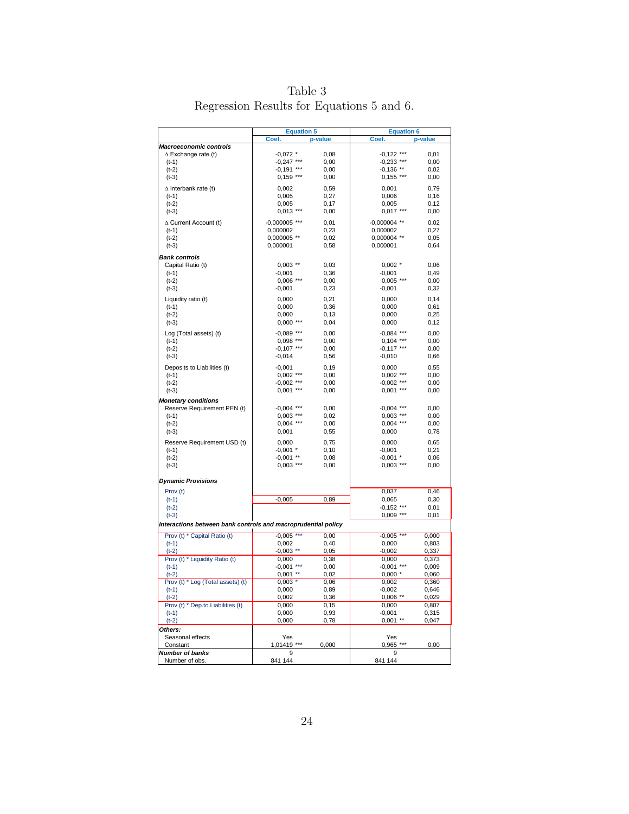|                                           | Table 3 |  |  |
|-------------------------------------------|---------|--|--|
| Regression Results for Equations 5 and 6. |         |  |  |

|                                                               | <b>Equation 5</b> |              | <b>Equation 6</b>    |                |
|---------------------------------------------------------------|-------------------|--------------|----------------------|----------------|
|                                                               | Coef.             | p-value      | Coef.                | p-value        |
| <b>Macroeconomic controls</b>                                 |                   |              |                      |                |
| $\Delta$ Exchange rate (t)                                    | $-0,072$ *        | 0,08         | $-0,122$ ***         | 0,01           |
| (t-1)                                                         | $-0,247$ ***      | 0,00         | $-0,233$ ***         | 0,00           |
| $(t-2)$                                                       | $-0,191$ ***      | 0,00         | $-0,136$ **          | 0,02           |
| $(t-3)$                                                       | $0,159***$        | 0,00         | $0,155***$           | 0,00           |
| $\Delta$ Interbank rate (t)                                   | 0,002             | 0,59         | 0,001                | 0,79           |
| $(t-1)$                                                       | 0,005             | 0,27         | 0,006                | 0, 16          |
| $(t-2)$                                                       | 0,005             | 0,17         | 0,005                | 0,12           |
| $(t-3)$                                                       | $0,013$ ***       | 0,00         | $0,017***$           | 0,00           |
|                                                               |                   |              |                      |                |
| $\Delta$ Current Account (t)                                  | $-0,000005$ ***   | 0,01         | $-0,000004$ **       | 0,02           |
| $(t-1)$                                                       | 0,000002          | 0,23         | 0,000002             | 0,27           |
| $(t-2)$                                                       | 0,000005 **       | 0,02         | 0,000004 **          | 0,05           |
| $(t-3)$                                                       | 0,000001          | 0,58         | 0,000001             | 0,64           |
| <b>Bank controls</b>                                          |                   |              |                      |                |
| Capital Ratio (t)                                             | $0,003$ **        | 0,03         | $0,002$ *            | 0,06           |
| (t-1)                                                         | $-0,001$          | 0,36         | $-0,001$             | 0,49           |
| $(t-2)$                                                       | $0,006$ ***       | 0,00         | $0,005$ ***          | 0,00           |
| $(t-3)$                                                       | $-0,001$          | 0,23         | $-0,001$             | 0,32           |
| Liquidity ratio (t)                                           | 0,000             | 0,21         | 0,000                | 0,14           |
| $(t-1)$                                                       | 0,000             | 0,36         | 0,000                | 0,61           |
| $(t-2)$                                                       | 0,000             | 0,13         | 0,000                | 0,25           |
| $(t-3)$                                                       | $0,000***$        | 0,04         | 0,000                | 0,12           |
|                                                               |                   |              |                      |                |
| Log (Total assets) (t)                                        | $-0,089$ ***      | 0,00         | $-0,084$ ***         | 0,00           |
| $(t-1)$                                                       | $0,098$ ***       | 0,00         | $0,104$ ***          | 0,00           |
| $(t-2)$                                                       | $-0,107$ ***      | 0,00         | $-0,117$ ***         | 0,00           |
| $(t-3)$                                                       | $-0,014$          | 0,56         | $-0,010$             | 0,66           |
| Deposits to Liabilities (t)                                   | $-0,001$          | 0, 19        | 0,000                | 0,55           |
| $(t-1)$                                                       | $0,002$ ***       | 0,00         | $0,002$ ***          | 0,00           |
| $(t-2)$                                                       | $-0,002$ ***      | 0,00         | $-0,002$ ***         | 0,00           |
| $(t-3)$                                                       | $0,001$ ***       | 0,00         | $0,001$ ***          | 0,00           |
| <b>Monetary conditions</b>                                    |                   |              |                      |                |
| Reserve Requirement PEN (t)                                   | $-0,004$ ***      | 0,00         | $-0,004$ ***         | 0,00           |
| $(t-1)$                                                       | $0,003$ ***       | 0,02         | $0,003$ ***          | 0,00           |
| $(t-2)$                                                       | $0,004$ ***       | 0,00         | $0,004$ ***          | 0,00           |
| $(t-3)$                                                       | 0,001             | 0,55         | 0,000                | 0,78           |
| Reserve Requirement USD (t)                                   | 0,000             | 0,75         | 0,000                | 0,65           |
| $(t-1)$                                                       | $-0,001$ *        | 0, 10        | $-0,001$             | 0,21           |
| $(t-2)$                                                       | $-0,001$ **       | 0,08         | $-0,001$ *           | 0,06           |
| $(t-3)$                                                       | $0,003$ ***       | 0,00         | $0,003$ ***          | 0,00           |
|                                                               |                   |              |                      |                |
| <b>Dynamic Provisions</b>                                     |                   |              |                      |                |
|                                                               |                   |              |                      |                |
| Prov (t)<br>$(t-1)$                                           | $-0,005$          | 0,89         | 0,037<br>0,065       | 0,46<br>0,30   |
| $(t-2)$                                                       |                   |              | $-0,152$ ***         | 0,01           |
| $(t-3)$                                                       |                   |              | $0,009$ ***          | 0,01           |
|                                                               |                   |              |                      |                |
| Interactions between bank controls and macroprudential policy |                   |              |                      |                |
| Prov (t) * Capital Ratio (t)                                  | $-0,005$ ***      | 0,00         | $-0,005$<br>$***$    | 0,000          |
| $(t-1)$                                                       | 0,002             | 0,40         | 0,000                | 0,803          |
| $(t-2)$                                                       | $-0,003$ **       | 0,05         | $-0,002$             | 0,337          |
| Prov (t) * Liquidity Ratio (t)                                | 0,000             | 0,38         | 0,000                | 0,373          |
| $(t-1)$                                                       | $-0,001$ ***      | 0,00         | $-0,001$ ***         | 0,009          |
| $(t-2)$                                                       | $0,001$ **        | 0,02         | $0,000*$             | 0,060          |
| Prov (t) * Log (Total assets) (t)                             | $0,003$ *         | 0,06         | 0,002                | 0,360          |
| $(t-1)$<br>$(t-2)$                                            | 0,000<br>0,002    | 0,89<br>0,36 | -0,002<br>$0,006$ ** | 0,646<br>0,029 |
| Prov (t) * Dep.to.Liabilities (t)                             | 0,000             | 0, 15        | 0,000                | 0,807          |
| $(t-1)$                                                       | 0,000             | 0,93         | $-0,001$             | 0,315          |
| $(t-2)$                                                       | 0,000             | 0,78         | $0,001$ **           | 0,047          |
| Others:                                                       |                   |              |                      |                |
| Seasonal effects                                              | Yes               |              | Yes                  |                |
| Constant                                                      | 1,01419 ***       | 0,000        | 0,965 ***            | 0,00           |
| Number of banks                                               | 9                 |              | 9                    |                |
| Number of obs.                                                | 841 144           |              | 841 144              |                |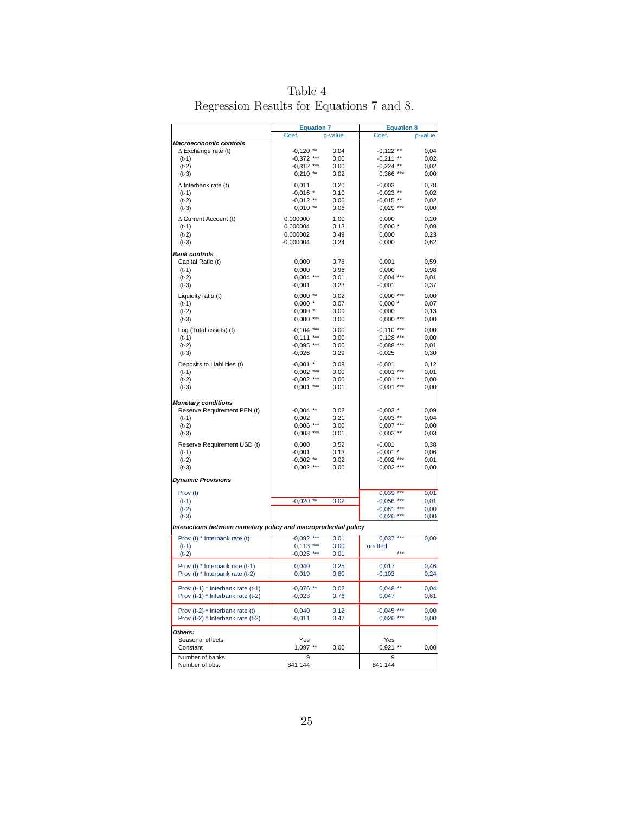|                                                                 | <b>Equation 7</b>           |              | <b>Equation 8</b>           |              |
|-----------------------------------------------------------------|-----------------------------|--------------|-----------------------------|--------------|
|                                                                 | Coef.                       | p-value      | Coef.                       | p-value      |
| <b>Macroeconomic controls</b>                                   |                             |              |                             |              |
| $\Delta$ Exchange rate (t)<br>(t-1)                             | $-0,120$ **<br>$-0,372$ *** | 0,04<br>0,00 | $-0,122$ **<br>$-0,211$ **  | 0,04<br>0,02 |
| (t-2)                                                           | $-0,312$ ***                | 0,00         | $-0,224$ **                 | 0,02         |
| $(t-3)$                                                         | $0,210$ **                  | 0,02         | $0,366$ ***                 | 0,00         |
| $\Delta$ Interbank rate (t)                                     | 0,011                       | 0,20         | $-0,003$                    | 0,78         |
| (t-1)                                                           | $-0,016$ *                  | 0, 10        | $-0,023$ **                 | 0,02         |
| (t-2)                                                           | $-0,012$ **                 | 0,06         | $-0,015$ **                 | 0,02         |
| $(t-3)$                                                         | $0,010$ **                  | 0,06         | $0,029$ ***                 | 0,00         |
| ∆ Current Account (t)                                           | 0,000000                    | 1,00         | 0,000                       | 0,20         |
| $(t-1)$                                                         | 0,000004                    | 0, 13        | $0,000*$                    | 0,09         |
| $(t-2)$                                                         | 0,000002                    | 0,49         | 0,000                       | 0,23         |
| $(t-3)$                                                         | $-0,000004$                 | 0,24         | 0,000                       | 0,62         |
| <b>Bank controls</b>                                            |                             |              |                             |              |
| Capital Ratio (t)                                               | 0,000                       | 0,78         | 0,001                       | 0,59         |
| (t-1)<br>(t-2)                                                  | 0,000<br>$0,004$ ***        | 0,96<br>0,01 | 0,000<br>$0,004$ ***        | 0,98<br>0,01 |
| $(t-3)$                                                         | $-0,001$                    | 0,23         | $-0,001$                    | 0,37         |
|                                                                 | $0,000$ **                  | 0,02         | $0,000***$                  | 0,00         |
| Liquidity ratio (t)<br>$(t-1)$                                  | $0,000*$                    | 0,07         | $0,000$ *                   | 0,07         |
| (t-2)                                                           | $0,000$ *                   | 0,09         | 0,000                       | 0,13         |
| (t-3)                                                           | $0,000***$                  | 0,00         | $0,000***$                  | 0,00         |
| Log (Total assets) (t)                                          | $-0,104$ ***                | 0,00         | $-0,110$ ***                | 0,00         |
| $(t-1)$                                                         | $0,111***$                  | 0,00         | $0,128$ ***                 | 0,00         |
| (t-2)                                                           | $-0,095$ ***                | 0,00         | $-0,088$ ***                | 0,01         |
| $(t-3)$                                                         | $-0,026$                    | 0,29         | $-0,025$                    | 0,30         |
| Deposits to Liabilities (t)                                     | $-0,001$ *                  | 0,09         | $-0,001$                    | 0,12         |
| (t-1)                                                           | $0,002$ ***                 | 0,00         | $0,001$ ***                 | 0,01         |
| (t-2)                                                           | $-0,002$ ***                | 0,00         | $-0,001$ ***                | 0,00         |
| $(t-3)$                                                         | $0,001$ ***                 | 0,01         | $0,001$ ***                 | 0,00         |
| <b>Monetary conditions</b>                                      |                             |              |                             |              |
| Reserve Requirement PEN (t)                                     | $-0,004$ **                 | 0,02         | $-0,003$ *                  | 0,09         |
| (t-1)                                                           | 0,002                       | 0,21         | $0,003$ **                  | 0,04         |
| $(t-2)$                                                         | $0,006$ ***                 | 0,00         | $0,007$ ***                 | 0,00         |
| $(t-3)$                                                         | $0,003$ ***                 | 0,01         | $0,003$ **                  | 0,03         |
| Reserve Requirement USD (t)                                     | 0,000                       | 0,52         | $-0,001$                    | 0,38         |
| (t-1)                                                           | $-0,001$                    | 0,13         | $-0,001$ *                  | 0,06         |
| (t-2)<br>$(t-3)$                                                | $-0,002$ **<br>$0,002$ ***  | 0,02<br>0,00 | $-0,002$ ***<br>$0,002$ *** | 0,01<br>0,00 |
|                                                                 |                             |              |                             |              |
| <b>Dynamic Provisions</b>                                       |                             |              |                             |              |
| Prov (t)                                                        |                             |              | $0,039$ ***                 | 0,01         |
| $(t-1)$                                                         | $-0,020$ **                 | 0,02         | $-0,056$ ***                | 0,01         |
| $(t-2)$                                                         |                             |              | $-0,051$ ***                | 0,00         |
| $(t-3)$                                                         |                             |              | $0,026$ ***                 | 0,00         |
| Interactions between monetary policy and macroprudential policy |                             |              |                             |              |
| Prov (t) * Interbank rate (t)                                   | $-0.092$ ***                | 0,01         | $0,037$ ***                 | 0,00         |
| $(t-1)$                                                         | $0,113$ ***                 | 0,00         | omitted<br>$***$            |              |
| $(t-2)$                                                         | $-0,025$ ***                | 0,01         |                             |              |
| Prov (t) * Interbank rate (t-1)                                 | 0,040                       | 0,25         | 0,017                       | 0,46         |
| Prov (t) * Interbank rate (t-2)                                 | 0,019                       | 0,80         | $-0,103$                    | 0,24         |
| Prov (t-1) * Interbank rate (t-1)                               | $-0,076$ **                 | 0,02         | $0,048$ **                  | 0,04         |
| Prov (t-1) * Interbank rate (t-2)                               | $-0,023$                    | 0,76         | 0,047                       | 0,61         |
|                                                                 |                             |              |                             |              |
| Prov (t-2) * Interbank rate (t)                                 | 0,040                       | 0,12         | $-0,045$ ***                | 0,00         |
| Prov (t-2) * Interbank rate (t-2)                               | $-0,011$                    | 0,47         | $0,026$ ***                 | 0,00         |
| Others:                                                         |                             |              |                             |              |
| Seasonal effects                                                | Yes                         |              | Yes                         |              |
| Constant                                                        | 1,097 **                    | 0,00         | $0,921$ **                  | 0,00         |
| Number of banks                                                 | 9                           |              | 9                           |              |
| Number of obs.                                                  | 841 144                     |              | 841 144                     |              |

Table 4 Regression Results for Equations 7 and 8.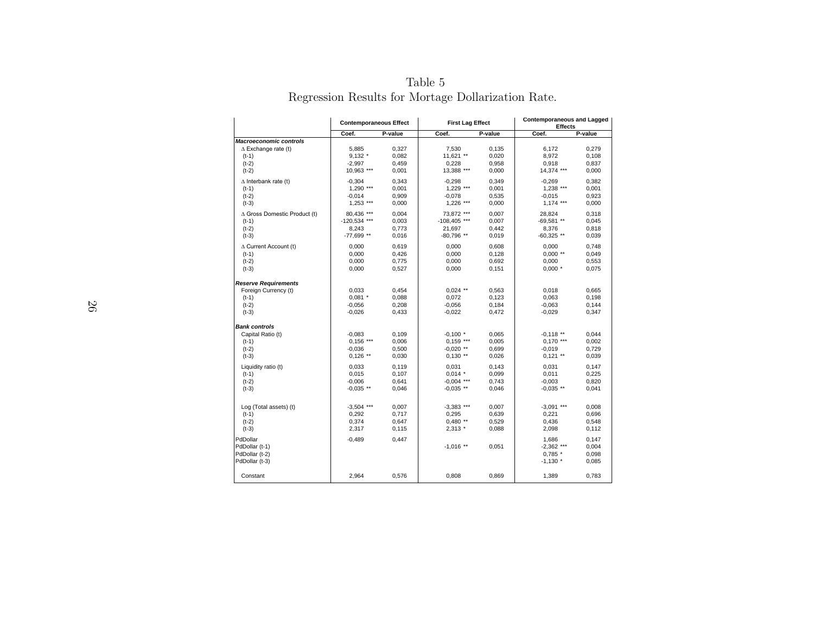|                                  | <b>Contemporaneous Effect</b> |         | <b>First Lag Effect</b> |         | <b>Contemporaneous and Lagged</b><br><b>Effects</b> |                |  |
|----------------------------------|-------------------------------|---------|-------------------------|---------|-----------------------------------------------------|----------------|--|
|                                  | Coef.                         | P-value | Coef.                   | P-value | Coef.                                               | P-value        |  |
| <b>Macroeconomic controls</b>    |                               |         |                         |         |                                                     |                |  |
| $\Delta$ Exchange rate (t)       | 5,885                         | 0,327   | 7,530                   | 0,135   | 6,172                                               | 0,279          |  |
| $(t-1)$                          | $9,132$ *                     | 0,082   | 11,621 **               | 0,020   | 8,972                                               | 0,108          |  |
| $(t-2)$                          | $-2,997$                      | 0,459   | 0,228                   | 0,958   | 0,918                                               | 0,837          |  |
| $(t-2)$                          | 10,963 ***                    | 0,001   | 13,388 ***              | 0,000   | 14,374 ***                                          | 0,000          |  |
| $\Delta$ Interbank rate (t)      | $-0,304$                      | 0,343   | $-0,298$                | 0,349   | $-0,269$                                            | 0,382          |  |
| $(t-1)$                          | 1,290 ***                     | 0,001   | 1,229 ***               | 0,001   | 1,238 ***                                           | 0,001          |  |
| $(t-2)$                          | $-0,014$                      | 0,909   | $-0,078$                | 0,535   | $-0,015$                                            | 0,923          |  |
| $(t-3)$                          | $1,253$ ***                   | 0,000   | 1,226 ***               | 0,000   | $1,174$ ***                                         | 0,000          |  |
| A Gross Domestic Product (t)     | 80,436 ***                    | 0,004   | 73,872 ***              | 0,007   | 28,824                                              | 0,318          |  |
| $(t-1)$                          | -120,534 ***                  | 0,003   | $-108,405$ ***          | 0,007   | $-69,581$ **                                        | 0,045          |  |
| $(t-2)$                          | 8,243                         | 0,773   | 21,697                  | 0,442   | 8,376                                               | 0,818          |  |
| $(t-3)$                          | -77,699 **                    | 0,016   | $-80,796$ **            | 0,019   | $-60,325$ **                                        | 0,039          |  |
| $\Delta$ Current Account (t)     | 0,000                         | 0,619   | 0,000                   | 0,608   | 0,000                                               | 0,748          |  |
| $(t-1)$                          | 0,000                         | 0,426   | 0,000                   | 0,128   | $0,000$ **                                          | 0,049          |  |
| $(t-2)$                          | 0,000                         | 0,775   | 0,000                   | 0,692   | 0,000                                               | 0,553          |  |
| $(t-3)$                          | 0,000                         | 0,527   | 0,000                   | 0,151   | $0,000$ *                                           | 0,075          |  |
| <b>Reserve Requirements</b>      |                               |         |                         |         |                                                     |                |  |
| Foreign Currency (t)             | 0.033                         | 0,454   | $0,024$ **              | 0,563   | 0,018                                               | 0,665          |  |
| $(t-1)$                          | $0,081$ *                     | 0,088   | 0,072                   | 0,123   | 0,063                                               | 0,198          |  |
| $(t-2)$                          | $-0,056$                      | 0,208   | $-0,056$                | 0,184   | $-0,063$                                            | 0,144          |  |
| $(t-3)$                          | $-0,026$                      | 0,433   | $-0,022$                | 0,472   | $-0,029$                                            | 0,347          |  |
| <b>Bank controls</b>             |                               |         |                         |         |                                                     |                |  |
| Capital Ratio (t)                | $-0.083$                      | 0,109   | $-0,100$ *              | 0,065   | $-0.118$ **                                         | 0.044          |  |
| $(t-1)$                          | $0.156$ ***                   | 0,006   | $0,159$ ***             | 0,005   | 0,170 ***                                           | 0,002          |  |
| $(t-2)$                          | $-0,036$                      | 0,500   | $-0,020$ **             | 0,699   | $-0,019$                                            | 0,729          |  |
| $(t-3)$                          | $0,126$ **                    | 0,030   | $0,130$ **              | 0,026   | $0,121$ **                                          | 0,039          |  |
| Liquidity ratio (t)              | 0,033                         | 0,119   | 0,031                   | 0,143   | 0,031                                               | 0,147          |  |
| $(t-1)$                          | 0,015                         | 0,107   | $0,014$ *               | 0,099   | 0,011                                               | 0,225          |  |
| $(t-2)$                          | $-0,006$                      | 0,641   | $-0,004$ ***            | 0,743   | $-0,003$                                            | 0,820          |  |
| $(t-3)$                          | $-0.035$ **                   | 0,046   | $-0.035$ **             | 0,046   | $-0.035$ **                                         | 0,041          |  |
|                                  |                               |         |                         |         |                                                     |                |  |
| Log (Total assets) (t)           | $-3,504$ ***                  | 0,007   | $-3,383$ ***            | 0,007   | $-3,091$ ***                                        | 0,008          |  |
| $(t-1)$                          | 0,292                         | 0,717   | 0,295                   | 0,639   | 0,221                                               | 0,696          |  |
| $(t-2)$                          | 0,374                         | 0,647   | $0,480**$               | 0,529   | 0,436                                               | 0,548          |  |
| $(t-3)$                          | 2,317                         | 0,115   | $2,313$ *               | 0,088   | 2,098                                               | 0,112          |  |
| PdDollar                         | $-0,489$                      | 0,447   |                         |         | 1.686                                               | 0.147          |  |
| PdDollar (t-1)                   |                               |         | $-1.016$ **             | 0,051   | $-2,362$ ***                                        | 0,004          |  |
| PdDollar (t-2)<br>PdDollar (t-3) |                               |         |                         |         | $0,785$ $*$<br>$-1,130$ *                           | 0,098<br>0,085 |  |
|                                  |                               |         |                         |         |                                                     |                |  |
| Constant                         | 2,964                         | 0,576   | 0,808                   | 0.869   | 1,389                                               | 0,783          |  |

Table 5Regression Results for Mortage Dollarization Rate.